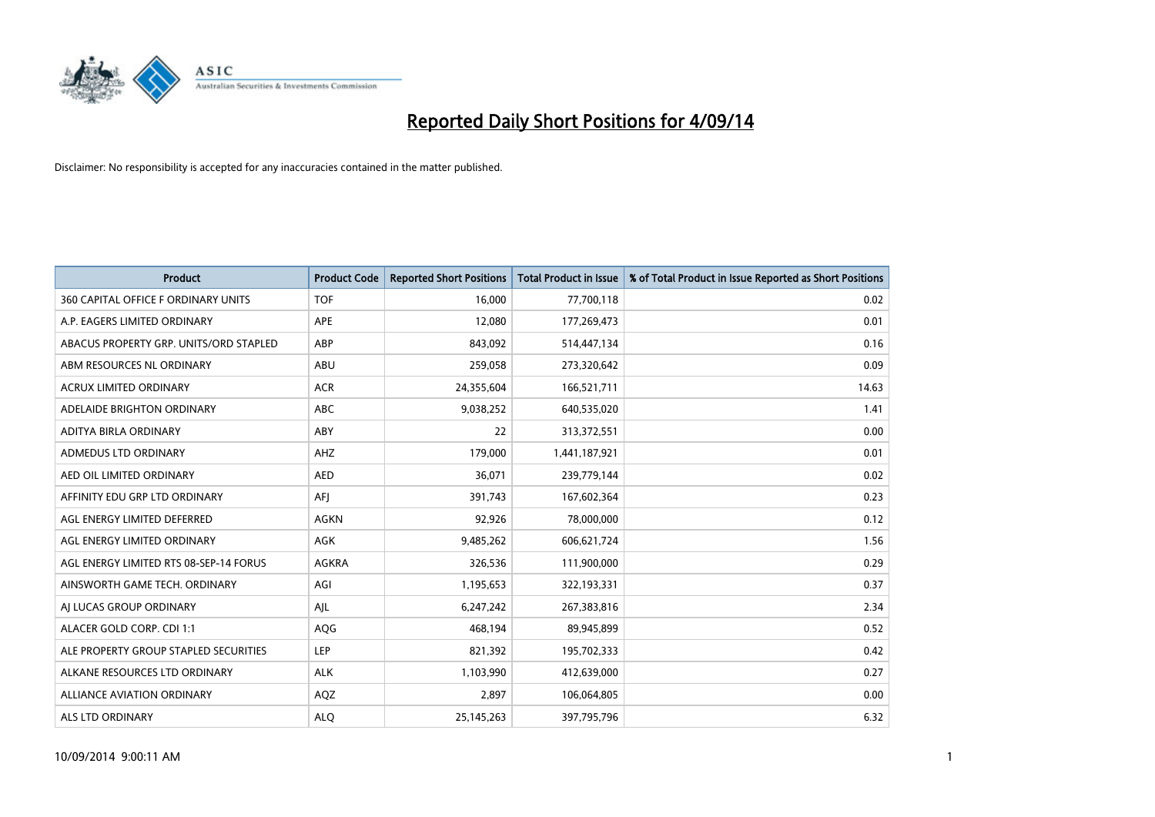

| <b>Product</b>                         | <b>Product Code</b> | <b>Reported Short Positions</b> | <b>Total Product in Issue</b> | % of Total Product in Issue Reported as Short Positions |
|----------------------------------------|---------------------|---------------------------------|-------------------------------|---------------------------------------------------------|
| 360 CAPITAL OFFICE F ORDINARY UNITS    | <b>TOF</b>          | 16,000                          | 77,700,118                    | 0.02                                                    |
| A.P. EAGERS LIMITED ORDINARY           | APE                 | 12,080                          | 177,269,473                   | 0.01                                                    |
| ABACUS PROPERTY GRP. UNITS/ORD STAPLED | ABP                 | 843,092                         | 514,447,134                   | 0.16                                                    |
| ABM RESOURCES NL ORDINARY              | ABU                 | 259,058                         | 273,320,642                   | 0.09                                                    |
| <b>ACRUX LIMITED ORDINARY</b>          | <b>ACR</b>          | 24,355,604                      | 166,521,711                   | 14.63                                                   |
| ADELAIDE BRIGHTON ORDINARY             | <b>ABC</b>          | 9,038,252                       | 640,535,020                   | 1.41                                                    |
| ADITYA BIRLA ORDINARY                  | ABY                 | 22                              | 313,372,551                   | 0.00                                                    |
| ADMEDUS LTD ORDINARY                   | AHZ                 | 179,000                         | 1,441,187,921                 | 0.01                                                    |
| AED OIL LIMITED ORDINARY               | <b>AED</b>          | 36,071                          | 239,779,144                   | 0.02                                                    |
| AFFINITY EDU GRP LTD ORDINARY          | AFI                 | 391,743                         | 167,602,364                   | 0.23                                                    |
| AGL ENERGY LIMITED DEFERRED            | <b>AGKN</b>         | 92,926                          | 78,000,000                    | 0.12                                                    |
| AGL ENERGY LIMITED ORDINARY            | AGK                 | 9,485,262                       | 606,621,724                   | 1.56                                                    |
| AGL ENERGY LIMITED RTS 08-SEP-14 FORUS | AGKRA               | 326,536                         | 111,900,000                   | 0.29                                                    |
| AINSWORTH GAME TECH. ORDINARY          | AGI                 | 1,195,653                       | 322,193,331                   | 0.37                                                    |
| AI LUCAS GROUP ORDINARY                | AJL                 | 6,247,242                       | 267,383,816                   | 2.34                                                    |
| ALACER GOLD CORP. CDI 1:1              | AQG                 | 468,194                         | 89,945,899                    | 0.52                                                    |
| ALE PROPERTY GROUP STAPLED SECURITIES  | LEP                 | 821,392                         | 195,702,333                   | 0.42                                                    |
| ALKANE RESOURCES LTD ORDINARY          | <b>ALK</b>          | 1,103,990                       | 412,639,000                   | 0.27                                                    |
| <b>ALLIANCE AVIATION ORDINARY</b>      | AQZ                 | 2,897                           | 106,064,805                   | 0.00                                                    |
| <b>ALS LTD ORDINARY</b>                | <b>ALO</b>          | 25, 145, 263                    | 397,795,796                   | 6.32                                                    |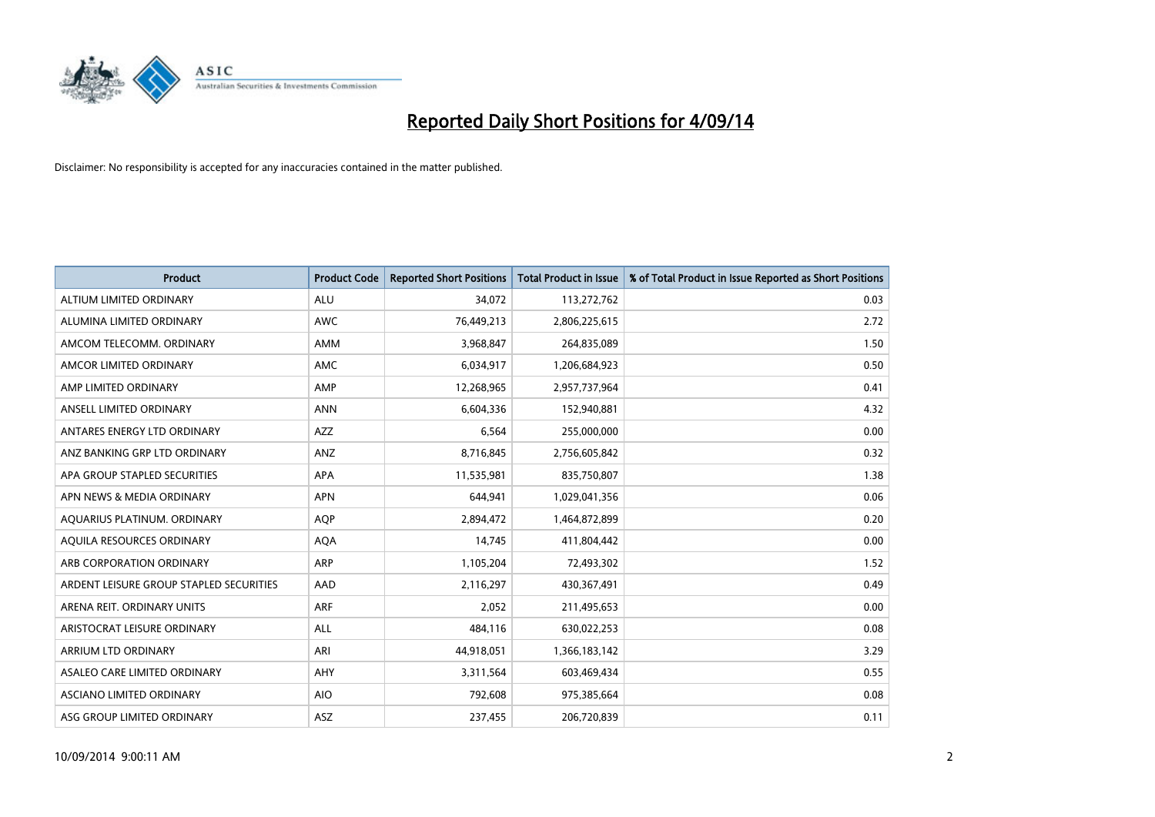

| <b>Product</b>                          | <b>Product Code</b> | <b>Reported Short Positions</b> | <b>Total Product in Issue</b> | % of Total Product in Issue Reported as Short Positions |
|-----------------------------------------|---------------------|---------------------------------|-------------------------------|---------------------------------------------------------|
| ALTIUM LIMITED ORDINARY                 | <b>ALU</b>          | 34,072                          | 113,272,762                   | 0.03                                                    |
| ALUMINA LIMITED ORDINARY                | AWC                 | 76,449,213                      | 2,806,225,615                 | 2.72                                                    |
| AMCOM TELECOMM. ORDINARY                | AMM                 | 3,968,847                       | 264,835,089                   | 1.50                                                    |
| AMCOR LIMITED ORDINARY                  | AMC                 | 6,034,917                       | 1,206,684,923                 | 0.50                                                    |
| AMP LIMITED ORDINARY                    | AMP                 | 12,268,965                      | 2,957,737,964                 | 0.41                                                    |
| ANSELL LIMITED ORDINARY                 | <b>ANN</b>          | 6,604,336                       | 152,940,881                   | 4.32                                                    |
| ANTARES ENERGY LTD ORDINARY             | AZZ                 | 6,564                           | 255,000,000                   | 0.00                                                    |
| ANZ BANKING GRP LTD ORDINARY            | ANZ                 | 8,716,845                       | 2,756,605,842                 | 0.32                                                    |
| APA GROUP STAPLED SECURITIES            | <b>APA</b>          | 11,535,981                      | 835,750,807                   | 1.38                                                    |
| APN NEWS & MEDIA ORDINARY               | <b>APN</b>          | 644,941                         | 1,029,041,356                 | 0.06                                                    |
| AQUARIUS PLATINUM. ORDINARY             | AQP                 | 2,894,472                       | 1,464,872,899                 | 0.20                                                    |
| AOUILA RESOURCES ORDINARY               | <b>AQA</b>          | 14,745                          | 411,804,442                   | 0.00                                                    |
| ARB CORPORATION ORDINARY                | ARP                 | 1,105,204                       | 72,493,302                    | 1.52                                                    |
| ARDENT LEISURE GROUP STAPLED SECURITIES | AAD                 | 2,116,297                       | 430,367,491                   | 0.49                                                    |
| ARENA REIT. ORDINARY UNITS              | <b>ARF</b>          | 2,052                           | 211,495,653                   | 0.00                                                    |
| ARISTOCRAT LEISURE ORDINARY             | ALL                 | 484,116                         | 630,022,253                   | 0.08                                                    |
| ARRIUM LTD ORDINARY                     | ARI                 | 44,918,051                      | 1,366,183,142                 | 3.29                                                    |
| ASALEO CARE LIMITED ORDINARY            | AHY                 | 3,311,564                       | 603,469,434                   | 0.55                                                    |
| ASCIANO LIMITED ORDINARY                | <b>AIO</b>          | 792,608                         | 975,385,664                   | 0.08                                                    |
| ASG GROUP LIMITED ORDINARY              | ASZ                 | 237,455                         | 206,720,839                   | 0.11                                                    |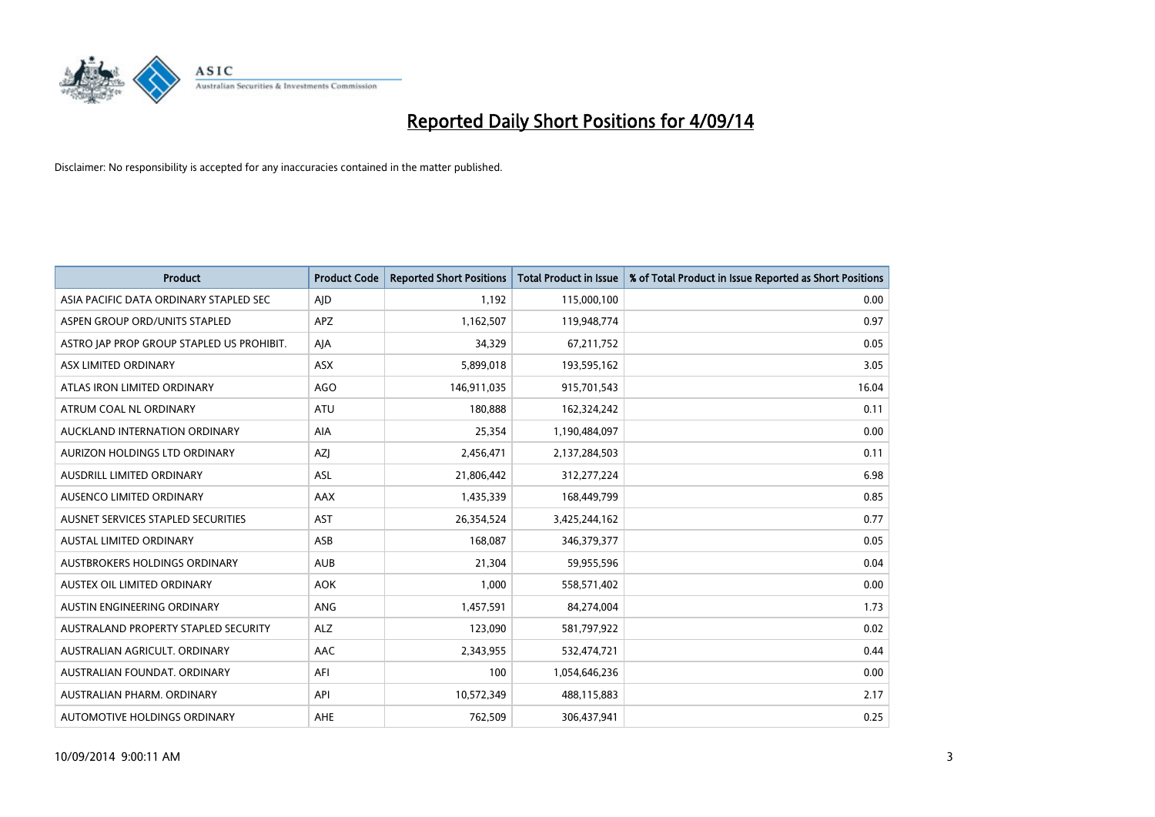

| <b>Product</b>                            | <b>Product Code</b> | <b>Reported Short Positions</b> | <b>Total Product in Issue</b> | % of Total Product in Issue Reported as Short Positions |
|-------------------------------------------|---------------------|---------------------------------|-------------------------------|---------------------------------------------------------|
| ASIA PACIFIC DATA ORDINARY STAPLED SEC    | AJD                 | 1,192                           | 115,000,100                   | 0.00                                                    |
| ASPEN GROUP ORD/UNITS STAPLED             | APZ                 | 1,162,507                       | 119,948,774                   | 0.97                                                    |
| ASTRO JAP PROP GROUP STAPLED US PROHIBIT. | AJA                 | 34,329                          | 67,211,752                    | 0.05                                                    |
| ASX LIMITED ORDINARY                      | ASX                 | 5,899,018                       | 193,595,162                   | 3.05                                                    |
| ATLAS IRON LIMITED ORDINARY               | AGO                 | 146,911,035                     | 915,701,543                   | 16.04                                                   |
| ATRUM COAL NL ORDINARY                    | ATU                 | 180,888                         | 162,324,242                   | 0.11                                                    |
| AUCKLAND INTERNATION ORDINARY             | AIA                 | 25,354                          | 1,190,484,097                 | 0.00                                                    |
| AURIZON HOLDINGS LTD ORDINARY             | AZJ                 | 2,456,471                       | 2,137,284,503                 | 0.11                                                    |
| AUSDRILL LIMITED ORDINARY                 | <b>ASL</b>          | 21,806,442                      | 312,277,224                   | 6.98                                                    |
| AUSENCO LIMITED ORDINARY                  | AAX                 | 1,435,339                       | 168,449,799                   | 0.85                                                    |
| AUSNET SERVICES STAPLED SECURITIES        | <b>AST</b>          | 26,354,524                      | 3,425,244,162                 | 0.77                                                    |
| AUSTAL LIMITED ORDINARY                   | ASB                 | 168,087                         | 346,379,377                   | 0.05                                                    |
| AUSTBROKERS HOLDINGS ORDINARY             | <b>AUB</b>          | 21,304                          | 59,955,596                    | 0.04                                                    |
| AUSTEX OIL LIMITED ORDINARY               | <b>AOK</b>          | 1,000                           | 558,571,402                   | 0.00                                                    |
| AUSTIN ENGINEERING ORDINARY               | ANG                 | 1,457,591                       | 84,274,004                    | 1.73                                                    |
| AUSTRALAND PROPERTY STAPLED SECURITY      | <b>ALZ</b>          | 123,090                         | 581,797,922                   | 0.02                                                    |
| AUSTRALIAN AGRICULT. ORDINARY             | AAC                 | 2,343,955                       | 532,474,721                   | 0.44                                                    |
| AUSTRALIAN FOUNDAT, ORDINARY              | AFI                 | 100                             | 1,054,646,236                 | 0.00                                                    |
| AUSTRALIAN PHARM, ORDINARY                | API                 | 10,572,349                      | 488,115,883                   | 2.17                                                    |
| AUTOMOTIVE HOLDINGS ORDINARY              | AHE                 | 762,509                         | 306,437,941                   | 0.25                                                    |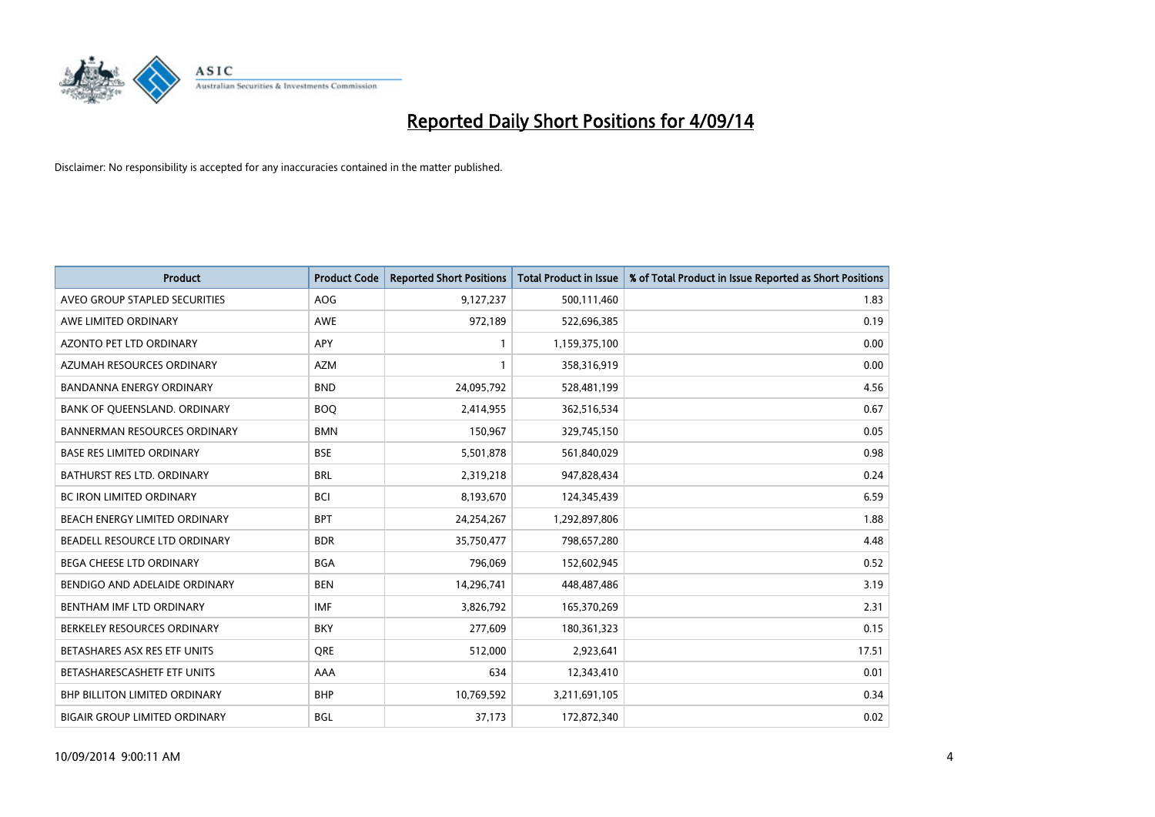

| <b>Product</b>                       | <b>Product Code</b> | <b>Reported Short Positions</b> | <b>Total Product in Issue</b> | % of Total Product in Issue Reported as Short Positions |
|--------------------------------------|---------------------|---------------------------------|-------------------------------|---------------------------------------------------------|
| AVEO GROUP STAPLED SECURITIES        | <b>AOG</b>          | 9,127,237                       | 500,111,460                   | 1.83                                                    |
| AWE LIMITED ORDINARY                 | AWE                 | 972,189                         | 522,696,385                   | 0.19                                                    |
| <b>AZONTO PET LTD ORDINARY</b>       | <b>APY</b>          | 1                               | 1,159,375,100                 | 0.00                                                    |
| AZUMAH RESOURCES ORDINARY            | <b>AZM</b>          | $\mathbf{1}$                    | 358,316,919                   | 0.00                                                    |
| <b>BANDANNA ENERGY ORDINARY</b>      | <b>BND</b>          | 24,095,792                      | 528,481,199                   | 4.56                                                    |
| BANK OF QUEENSLAND. ORDINARY         | <b>BOQ</b>          | 2,414,955                       | 362,516,534                   | 0.67                                                    |
| <b>BANNERMAN RESOURCES ORDINARY</b>  | <b>BMN</b>          | 150,967                         | 329,745,150                   | 0.05                                                    |
| <b>BASE RES LIMITED ORDINARY</b>     | <b>BSE</b>          | 5,501,878                       | 561,840,029                   | 0.98                                                    |
| <b>BATHURST RES LTD. ORDINARY</b>    | <b>BRL</b>          | 2,319,218                       | 947,828,434                   | 0.24                                                    |
| <b>BC IRON LIMITED ORDINARY</b>      | <b>BCI</b>          | 8,193,670                       | 124,345,439                   | 6.59                                                    |
| BEACH ENERGY LIMITED ORDINARY        | <b>BPT</b>          | 24,254,267                      | 1,292,897,806                 | 1.88                                                    |
| BEADELL RESOURCE LTD ORDINARY        | <b>BDR</b>          | 35,750,477                      | 798,657,280                   | 4.48                                                    |
| <b>BEGA CHEESE LTD ORDINARY</b>      | <b>BGA</b>          | 796,069                         | 152,602,945                   | 0.52                                                    |
| BENDIGO AND ADELAIDE ORDINARY        | <b>BEN</b>          | 14,296,741                      | 448,487,486                   | 3.19                                                    |
| BENTHAM IMF LTD ORDINARY             | <b>IMF</b>          | 3,826,792                       | 165,370,269                   | 2.31                                                    |
| BERKELEY RESOURCES ORDINARY          | <b>BKY</b>          | 277,609                         | 180,361,323                   | 0.15                                                    |
| BETASHARES ASX RES ETF UNITS         | <b>ORE</b>          | 512,000                         | 2,923,641                     | 17.51                                                   |
| BETASHARESCASHETF ETF UNITS          | AAA                 | 634                             | 12,343,410                    | 0.01                                                    |
| <b>BHP BILLITON LIMITED ORDINARY</b> | <b>BHP</b>          | 10,769,592                      | 3,211,691,105                 | 0.34                                                    |
| <b>BIGAIR GROUP LIMITED ORDINARY</b> | <b>BGL</b>          | 37,173                          | 172,872,340                   | 0.02                                                    |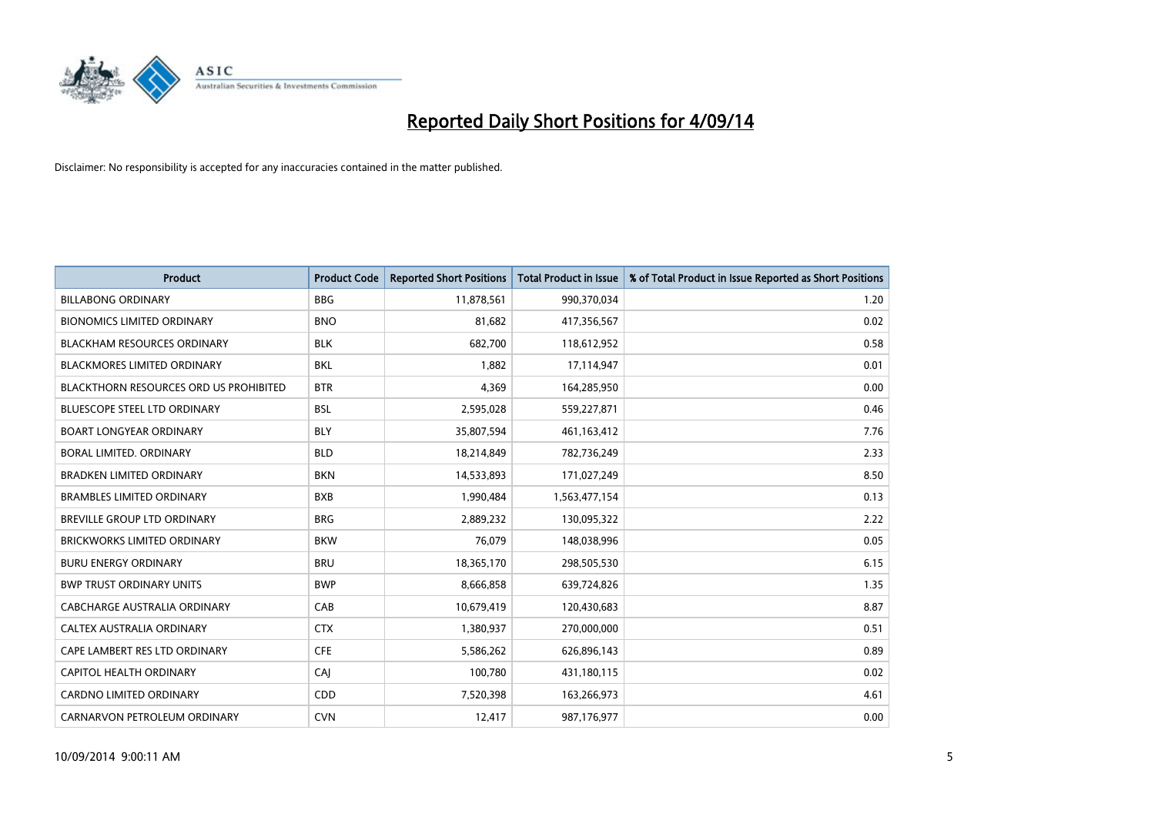

| <b>Product</b>                                | <b>Product Code</b> | <b>Reported Short Positions</b> | <b>Total Product in Issue</b> | % of Total Product in Issue Reported as Short Positions |
|-----------------------------------------------|---------------------|---------------------------------|-------------------------------|---------------------------------------------------------|
| <b>BILLABONG ORDINARY</b>                     | <b>BBG</b>          | 11,878,561                      | 990,370,034                   | 1.20                                                    |
| <b>BIONOMICS LIMITED ORDINARY</b>             | <b>BNO</b>          | 81,682                          | 417,356,567                   | 0.02                                                    |
| <b>BLACKHAM RESOURCES ORDINARY</b>            | <b>BLK</b>          | 682,700                         | 118,612,952                   | 0.58                                                    |
| <b>BLACKMORES LIMITED ORDINARY</b>            | <b>BKL</b>          | 1,882                           | 17,114,947                    | 0.01                                                    |
| <b>BLACKTHORN RESOURCES ORD US PROHIBITED</b> | <b>BTR</b>          | 4,369                           | 164,285,950                   | 0.00                                                    |
| <b>BLUESCOPE STEEL LTD ORDINARY</b>           | <b>BSL</b>          | 2,595,028                       | 559,227,871                   | 0.46                                                    |
| <b>BOART LONGYEAR ORDINARY</b>                | <b>BLY</b>          | 35,807,594                      | 461,163,412                   | 7.76                                                    |
| BORAL LIMITED, ORDINARY                       | <b>BLD</b>          | 18,214,849                      | 782,736,249                   | 2.33                                                    |
| <b>BRADKEN LIMITED ORDINARY</b>               | <b>BKN</b>          | 14,533,893                      | 171,027,249                   | 8.50                                                    |
| <b>BRAMBLES LIMITED ORDINARY</b>              | <b>BXB</b>          | 1,990,484                       | 1,563,477,154                 | 0.13                                                    |
| BREVILLE GROUP LTD ORDINARY                   | <b>BRG</b>          | 2,889,232                       | 130,095,322                   | 2.22                                                    |
| <b>BRICKWORKS LIMITED ORDINARY</b>            | <b>BKW</b>          | 76,079                          | 148,038,996                   | 0.05                                                    |
| <b>BURU ENERGY ORDINARY</b>                   | <b>BRU</b>          | 18,365,170                      | 298,505,530                   | 6.15                                                    |
| <b>BWP TRUST ORDINARY UNITS</b>               | <b>BWP</b>          | 8,666,858                       | 639,724,826                   | 1.35                                                    |
| <b>CABCHARGE AUSTRALIA ORDINARY</b>           | CAB                 | 10,679,419                      | 120,430,683                   | 8.87                                                    |
| CALTEX AUSTRALIA ORDINARY                     | <b>CTX</b>          | 1,380,937                       | 270,000,000                   | 0.51                                                    |
| CAPE LAMBERT RES LTD ORDINARY                 | <b>CFE</b>          | 5,586,262                       | 626,896,143                   | 0.89                                                    |
| CAPITOL HEALTH ORDINARY                       | CAJ                 | 100,780                         | 431,180,115                   | 0.02                                                    |
| <b>CARDNO LIMITED ORDINARY</b>                | CDD                 | 7,520,398                       | 163,266,973                   | 4.61                                                    |
| CARNARVON PETROLEUM ORDINARY                  | <b>CVN</b>          | 12,417                          | 987,176,977                   | 0.00                                                    |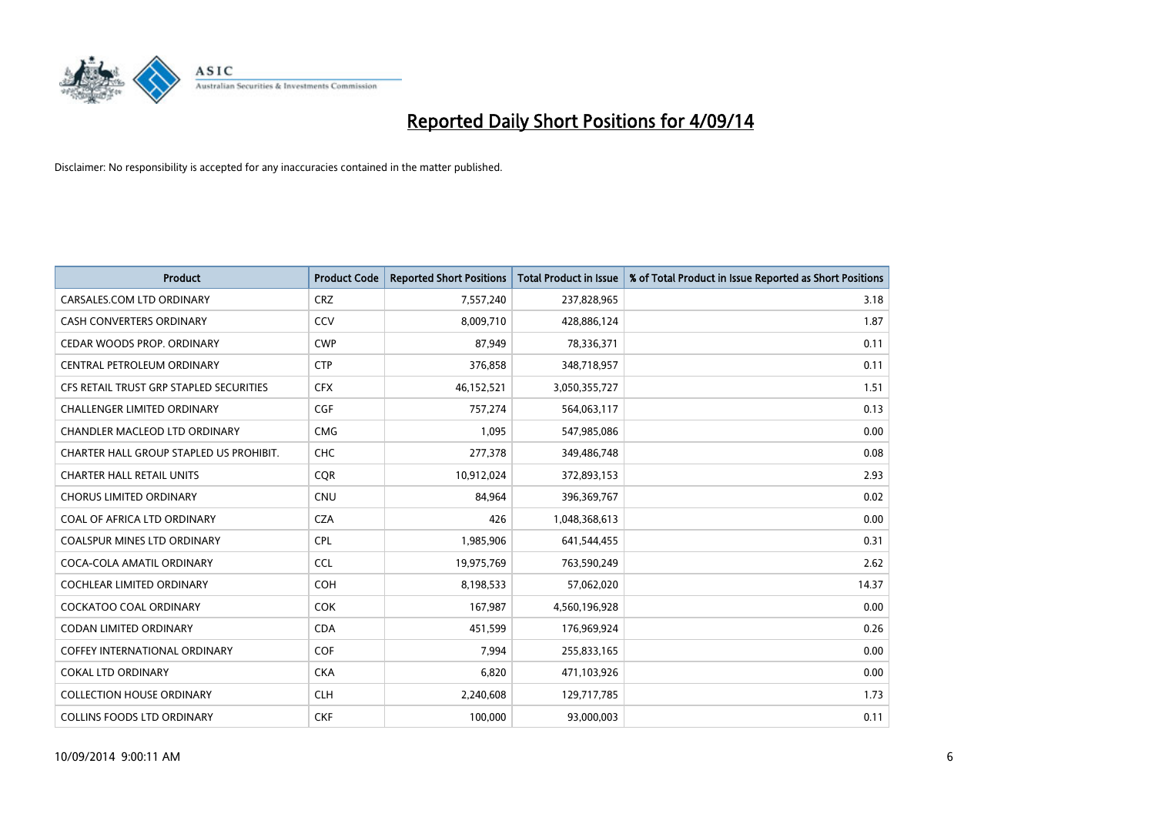

| <b>Product</b>                          | <b>Product Code</b> | <b>Reported Short Positions</b> | <b>Total Product in Issue</b> | % of Total Product in Issue Reported as Short Positions |
|-----------------------------------------|---------------------|---------------------------------|-------------------------------|---------------------------------------------------------|
| CARSALES.COM LTD ORDINARY               | <b>CRZ</b>          | 7,557,240                       | 237,828,965                   | 3.18                                                    |
| CASH CONVERTERS ORDINARY                | CCV                 | 8,009,710                       | 428,886,124                   | 1.87                                                    |
| CEDAR WOODS PROP. ORDINARY              | <b>CWP</b>          | 87,949                          | 78,336,371                    | 0.11                                                    |
| CENTRAL PETROLEUM ORDINARY              | <b>CTP</b>          | 376,858                         | 348,718,957                   | 0.11                                                    |
| CFS RETAIL TRUST GRP STAPLED SECURITIES | <b>CFX</b>          | 46,152,521                      | 3,050,355,727                 | 1.51                                                    |
| <b>CHALLENGER LIMITED ORDINARY</b>      | <b>CGF</b>          | 757,274                         | 564,063,117                   | 0.13                                                    |
| CHANDLER MACLEOD LTD ORDINARY           | <b>CMG</b>          | 1,095                           | 547,985,086                   | 0.00                                                    |
| CHARTER HALL GROUP STAPLED US PROHIBIT. | <b>CHC</b>          | 277,378                         | 349,486,748                   | 0.08                                                    |
| <b>CHARTER HALL RETAIL UNITS</b>        | <b>CQR</b>          | 10,912,024                      | 372,893,153                   | 2.93                                                    |
| <b>CHORUS LIMITED ORDINARY</b>          | <b>CNU</b>          | 84,964                          | 396,369,767                   | 0.02                                                    |
| COAL OF AFRICA LTD ORDINARY             | <b>CZA</b>          | 426                             | 1,048,368,613                 | 0.00                                                    |
| COALSPUR MINES LTD ORDINARY             | <b>CPL</b>          | 1,985,906                       | 641,544,455                   | 0.31                                                    |
| COCA-COLA AMATIL ORDINARY               | <b>CCL</b>          | 19,975,769                      | 763,590,249                   | 2.62                                                    |
| <b>COCHLEAR LIMITED ORDINARY</b>        | <b>COH</b>          | 8,198,533                       | 57,062,020                    | 14.37                                                   |
| <b>COCKATOO COAL ORDINARY</b>           | COK                 | 167,987                         | 4,560,196,928                 | 0.00                                                    |
| CODAN LIMITED ORDINARY                  | <b>CDA</b>          | 451,599                         | 176,969,924                   | 0.26                                                    |
| COFFEY INTERNATIONAL ORDINARY           | <b>COF</b>          | 7,994                           | 255,833,165                   | 0.00                                                    |
| <b>COKAL LTD ORDINARY</b>               | <b>CKA</b>          | 6,820                           | 471,103,926                   | 0.00                                                    |
| <b>COLLECTION HOUSE ORDINARY</b>        | <b>CLH</b>          | 2,240,608                       | 129,717,785                   | 1.73                                                    |
| COLLINS FOODS LTD ORDINARY              | <b>CKF</b>          | 100,000                         | 93,000,003                    | 0.11                                                    |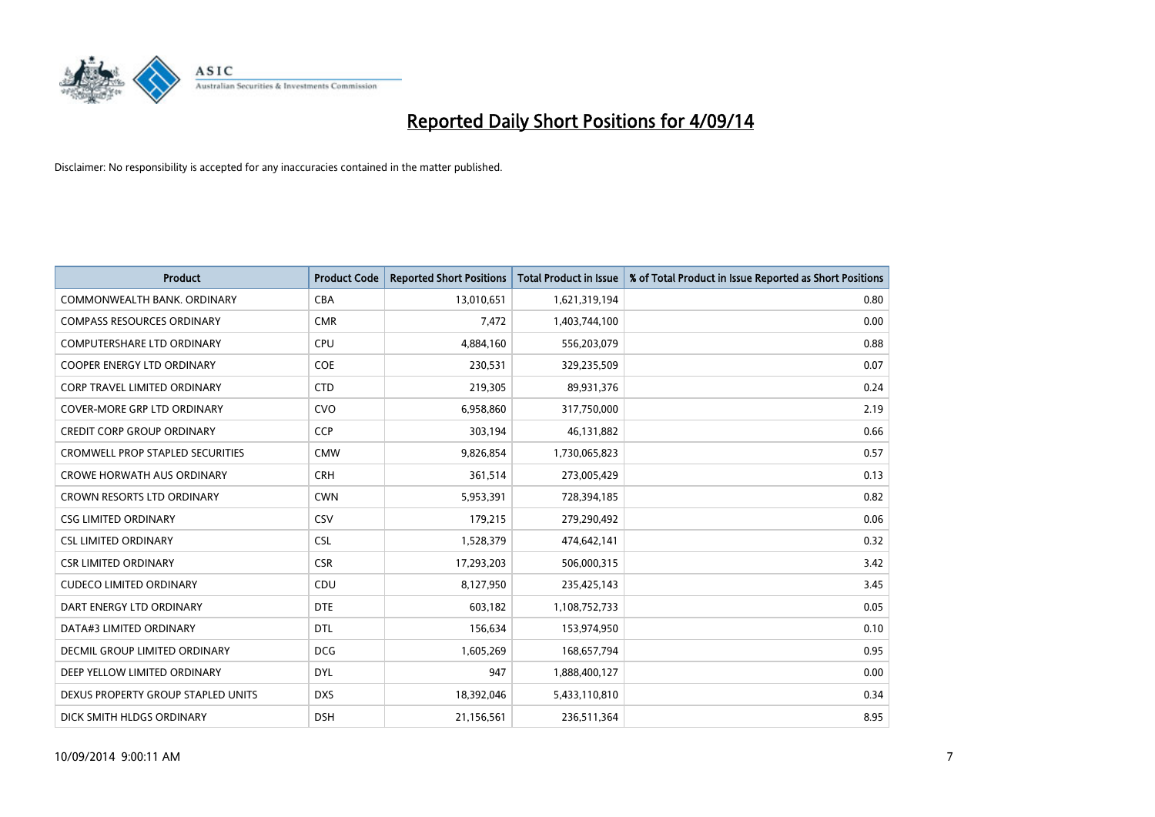

| <b>Product</b>                          | <b>Product Code</b> | <b>Reported Short Positions</b> | <b>Total Product in Issue</b> | % of Total Product in Issue Reported as Short Positions |
|-----------------------------------------|---------------------|---------------------------------|-------------------------------|---------------------------------------------------------|
| COMMONWEALTH BANK, ORDINARY             | <b>CBA</b>          | 13,010,651                      | 1,621,319,194                 | 0.80                                                    |
| <b>COMPASS RESOURCES ORDINARY</b>       | <b>CMR</b>          | 7,472                           | 1,403,744,100                 | 0.00                                                    |
| <b>COMPUTERSHARE LTD ORDINARY</b>       | <b>CPU</b>          | 4,884,160                       | 556,203,079                   | 0.88                                                    |
| COOPER ENERGY LTD ORDINARY              | <b>COE</b>          | 230,531                         | 329,235,509                   | 0.07                                                    |
| <b>CORP TRAVEL LIMITED ORDINARY</b>     | <b>CTD</b>          | 219,305                         | 89,931,376                    | 0.24                                                    |
| <b>COVER-MORE GRP LTD ORDINARY</b>      | <b>CVO</b>          | 6,958,860                       | 317,750,000                   | 2.19                                                    |
| <b>CREDIT CORP GROUP ORDINARY</b>       | <b>CCP</b>          | 303,194                         | 46,131,882                    | 0.66                                                    |
| <b>CROMWELL PROP STAPLED SECURITIES</b> | <b>CMW</b>          | 9,826,854                       | 1,730,065,823                 | 0.57                                                    |
| <b>CROWE HORWATH AUS ORDINARY</b>       | <b>CRH</b>          | 361,514                         | 273,005,429                   | 0.13                                                    |
| <b>CROWN RESORTS LTD ORDINARY</b>       | <b>CWN</b>          | 5,953,391                       | 728,394,185                   | 0.82                                                    |
| <b>CSG LIMITED ORDINARY</b>             | CSV                 | 179,215                         | 279,290,492                   | 0.06                                                    |
| <b>CSL LIMITED ORDINARY</b>             | <b>CSL</b>          | 1,528,379                       | 474,642,141                   | 0.32                                                    |
| <b>CSR LIMITED ORDINARY</b>             | <b>CSR</b>          | 17,293,203                      | 506,000,315                   | 3.42                                                    |
| <b>CUDECO LIMITED ORDINARY</b>          | CDU                 | 8,127,950                       | 235,425,143                   | 3.45                                                    |
| DART ENERGY LTD ORDINARY                | <b>DTE</b>          | 603,182                         | 1,108,752,733                 | 0.05                                                    |
| DATA#3 LIMITED ORDINARY                 | DTL                 | 156,634                         | 153,974,950                   | 0.10                                                    |
| DECMIL GROUP LIMITED ORDINARY           | <b>DCG</b>          | 1,605,269                       | 168,657,794                   | 0.95                                                    |
| DEEP YELLOW LIMITED ORDINARY            | <b>DYL</b>          | 947                             | 1,888,400,127                 | 0.00                                                    |
| DEXUS PROPERTY GROUP STAPLED UNITS      | <b>DXS</b>          | 18,392,046                      | 5,433,110,810                 | 0.34                                                    |
| DICK SMITH HLDGS ORDINARY               | <b>DSH</b>          | 21,156,561                      | 236,511,364                   | 8.95                                                    |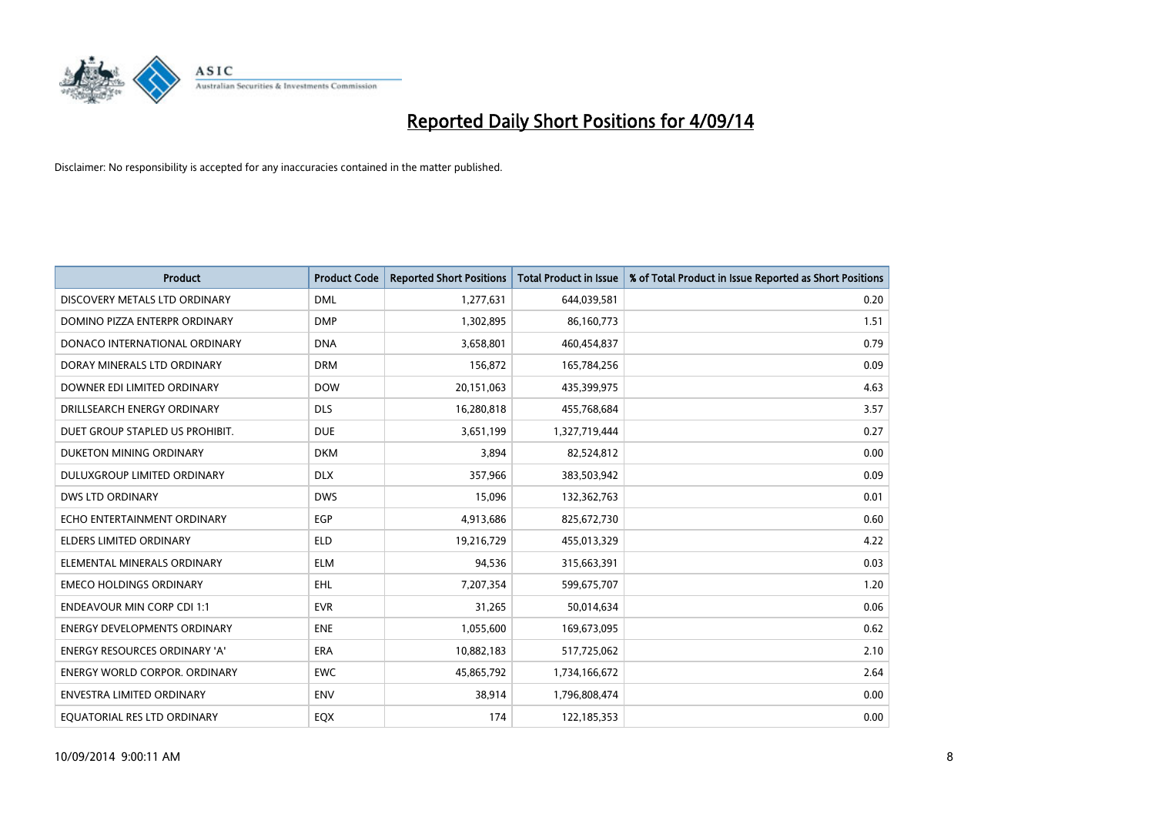

| <b>Product</b>                       | <b>Product Code</b> | <b>Reported Short Positions</b> | <b>Total Product in Issue</b> | % of Total Product in Issue Reported as Short Positions |
|--------------------------------------|---------------------|---------------------------------|-------------------------------|---------------------------------------------------------|
| DISCOVERY METALS LTD ORDINARY        | <b>DML</b>          | 1,277,631                       | 644,039,581                   | 0.20                                                    |
| DOMINO PIZZA ENTERPR ORDINARY        | <b>DMP</b>          | 1,302,895                       | 86,160,773                    | 1.51                                                    |
| DONACO INTERNATIONAL ORDINARY        | <b>DNA</b>          | 3,658,801                       | 460,454,837                   | 0.79                                                    |
| DORAY MINERALS LTD ORDINARY          | <b>DRM</b>          | 156,872                         | 165,784,256                   | 0.09                                                    |
| DOWNER EDI LIMITED ORDINARY          | <b>DOW</b>          | 20,151,063                      | 435,399,975                   | 4.63                                                    |
| DRILLSEARCH ENERGY ORDINARY          | <b>DLS</b>          | 16,280,818                      | 455,768,684                   | 3.57                                                    |
| DUET GROUP STAPLED US PROHIBIT.      | <b>DUE</b>          | 3,651,199                       | 1,327,719,444                 | 0.27                                                    |
| DUKETON MINING ORDINARY              | <b>DKM</b>          | 3,894                           | 82,524,812                    | 0.00                                                    |
| DULUXGROUP LIMITED ORDINARY          | <b>DLX</b>          | 357,966                         | 383,503,942                   | 0.09                                                    |
| <b>DWS LTD ORDINARY</b>              | <b>DWS</b>          | 15,096                          | 132,362,763                   | 0.01                                                    |
| ECHO ENTERTAINMENT ORDINARY          | <b>EGP</b>          | 4,913,686                       | 825,672,730                   | 0.60                                                    |
| <b>ELDERS LIMITED ORDINARY</b>       | <b>ELD</b>          | 19,216,729                      | 455,013,329                   | 4.22                                                    |
| ELEMENTAL MINERALS ORDINARY          | <b>ELM</b>          | 94,536                          | 315,663,391                   | 0.03                                                    |
| <b>EMECO HOLDINGS ORDINARY</b>       | <b>EHL</b>          | 7,207,354                       | 599,675,707                   | 1.20                                                    |
| <b>ENDEAVOUR MIN CORP CDI 1:1</b>    | <b>EVR</b>          | 31,265                          | 50,014,634                    | 0.06                                                    |
| <b>ENERGY DEVELOPMENTS ORDINARY</b>  | <b>ENE</b>          | 1,055,600                       | 169,673,095                   | 0.62                                                    |
| <b>ENERGY RESOURCES ORDINARY 'A'</b> | ERA                 | 10,882,183                      | 517,725,062                   | 2.10                                                    |
| <b>ENERGY WORLD CORPOR. ORDINARY</b> | <b>EWC</b>          | 45,865,792                      | 1,734,166,672                 | 2.64                                                    |
| <b>ENVESTRA LIMITED ORDINARY</b>     | <b>ENV</b>          | 38,914                          | 1,796,808,474                 | 0.00                                                    |
| EQUATORIAL RES LTD ORDINARY          | EQX                 | 174                             | 122,185,353                   | 0.00                                                    |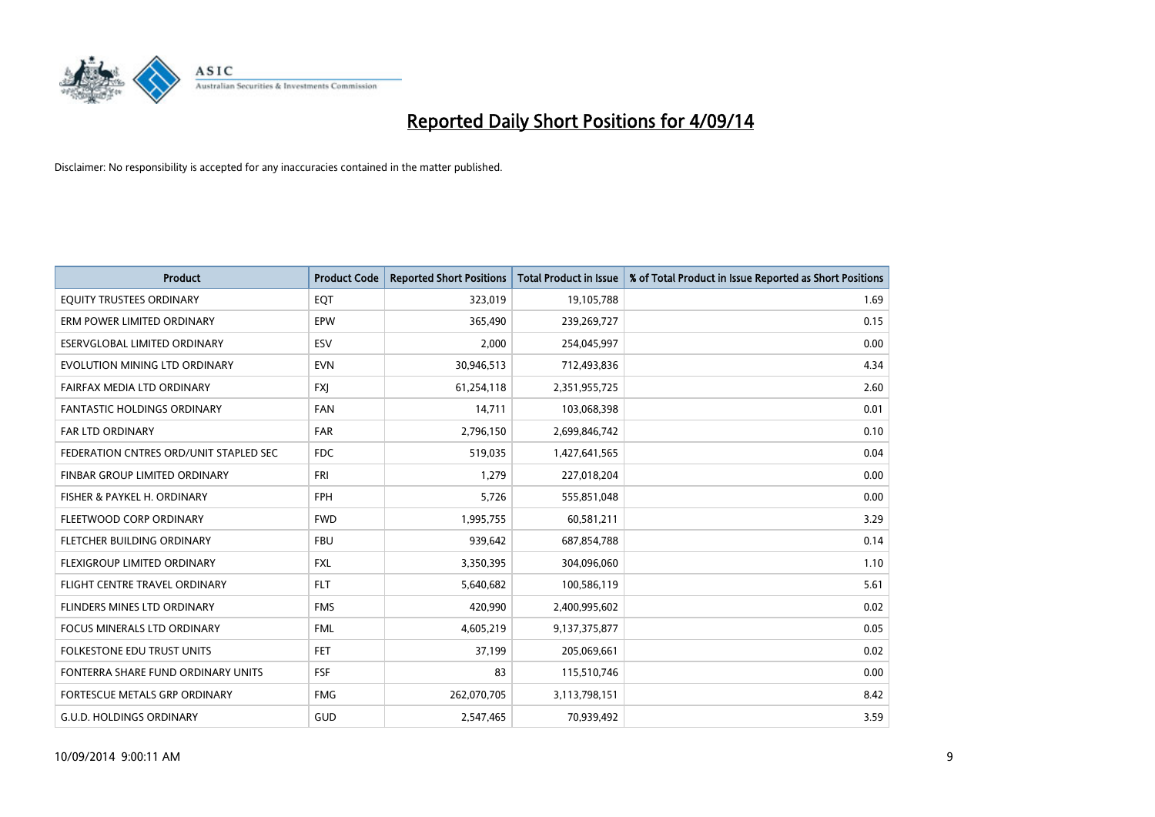

| <b>Product</b>                         | <b>Product Code</b> | <b>Reported Short Positions</b> | <b>Total Product in Issue</b> | % of Total Product in Issue Reported as Short Positions |
|----------------------------------------|---------------------|---------------------------------|-------------------------------|---------------------------------------------------------|
| EQUITY TRUSTEES ORDINARY               | EQT                 | 323,019                         | 19,105,788                    | 1.69                                                    |
| ERM POWER LIMITED ORDINARY             | EPW                 | 365,490                         | 239,269,727                   | 0.15                                                    |
| <b>ESERVGLOBAL LIMITED ORDINARY</b>    | ESV                 | 2,000                           | 254,045,997                   | 0.00                                                    |
| EVOLUTION MINING LTD ORDINARY          | <b>EVN</b>          | 30,946,513                      | 712,493,836                   | 4.34                                                    |
| FAIRFAX MEDIA LTD ORDINARY             | <b>FXI</b>          | 61,254,118                      | 2,351,955,725                 | 2.60                                                    |
| <b>FANTASTIC HOLDINGS ORDINARY</b>     | <b>FAN</b>          | 14,711                          | 103,068,398                   | 0.01                                                    |
| FAR LTD ORDINARY                       | FAR                 | 2,796,150                       | 2,699,846,742                 | 0.10                                                    |
| FEDERATION CNTRES ORD/UNIT STAPLED SEC | <b>FDC</b>          | 519,035                         | 1,427,641,565                 | 0.04                                                    |
| FINBAR GROUP LIMITED ORDINARY          | <b>FRI</b>          | 1,279                           | 227,018,204                   | 0.00                                                    |
| FISHER & PAYKEL H. ORDINARY            | <b>FPH</b>          | 5,726                           | 555,851,048                   | 0.00                                                    |
| FLEETWOOD CORP ORDINARY                | <b>FWD</b>          | 1,995,755                       | 60,581,211                    | 3.29                                                    |
| FLETCHER BUILDING ORDINARY             | <b>FBU</b>          | 939,642                         | 687,854,788                   | 0.14                                                    |
| FLEXIGROUP LIMITED ORDINARY            | <b>FXL</b>          | 3,350,395                       | 304,096,060                   | 1.10                                                    |
| FLIGHT CENTRE TRAVEL ORDINARY          | <b>FLT</b>          | 5,640,682                       | 100,586,119                   | 5.61                                                    |
| FLINDERS MINES LTD ORDINARY            | <b>FMS</b>          | 420,990                         | 2,400,995,602                 | 0.02                                                    |
| <b>FOCUS MINERALS LTD ORDINARY</b>     | <b>FML</b>          | 4,605,219                       | 9,137,375,877                 | 0.05                                                    |
| <b>FOLKESTONE EDU TRUST UNITS</b>      | <b>FET</b>          | 37,199                          | 205,069,661                   | 0.02                                                    |
| FONTERRA SHARE FUND ORDINARY UNITS     | <b>FSF</b>          | 83                              | 115,510,746                   | 0.00                                                    |
| FORTESCUE METALS GRP ORDINARY          | <b>FMG</b>          | 262,070,705                     | 3,113,798,151                 | 8.42                                                    |
| <b>G.U.D. HOLDINGS ORDINARY</b>        | GUD                 | 2,547,465                       | 70,939,492                    | 3.59                                                    |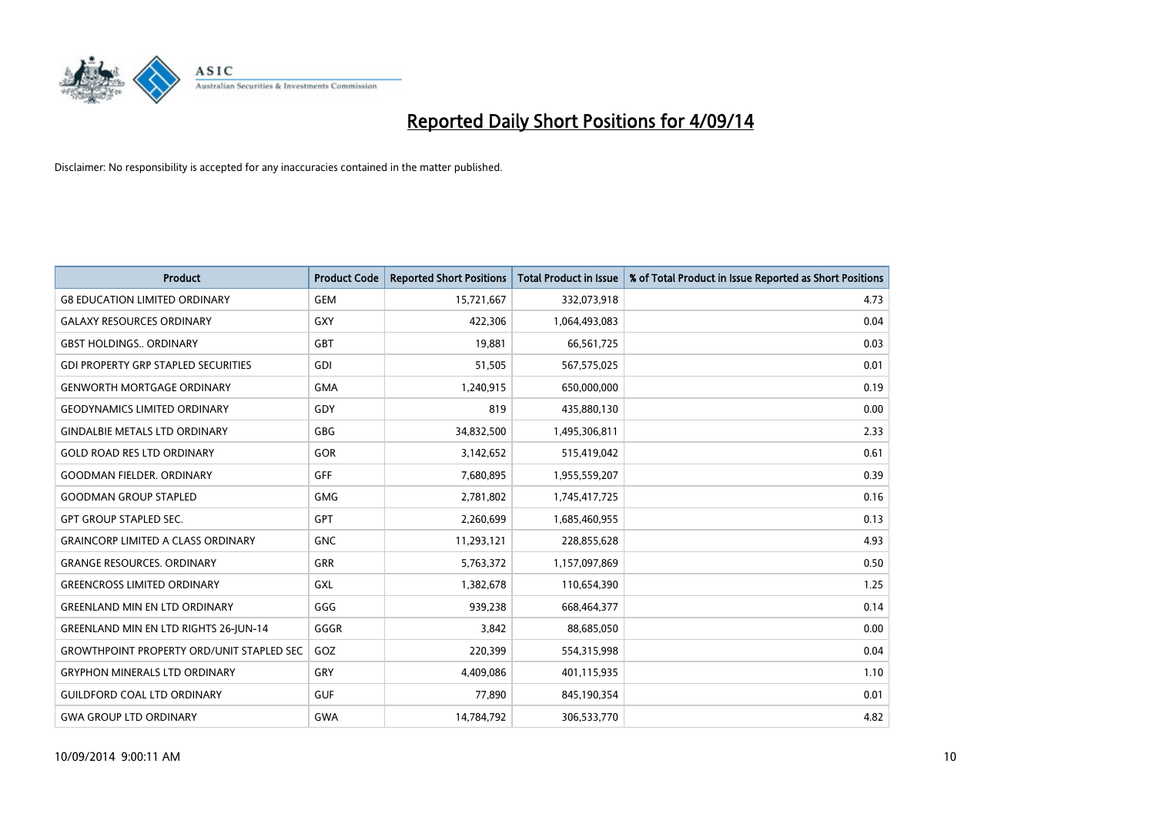

| <b>Product</b>                                   | <b>Product Code</b> | <b>Reported Short Positions</b> | <b>Total Product in Issue</b> | % of Total Product in Issue Reported as Short Positions |
|--------------------------------------------------|---------------------|---------------------------------|-------------------------------|---------------------------------------------------------|
| <b>G8 EDUCATION LIMITED ORDINARY</b>             | <b>GEM</b>          | 15,721,667                      | 332,073,918                   | 4.73                                                    |
| <b>GALAXY RESOURCES ORDINARY</b>                 | GXY                 | 422,306                         | 1,064,493,083                 | 0.04                                                    |
| <b>GBST HOLDINGS ORDINARY</b>                    | <b>GBT</b>          | 19,881                          | 66,561,725                    | 0.03                                                    |
| <b>GDI PROPERTY GRP STAPLED SECURITIES</b>       | GDI                 | 51,505                          | 567,575,025                   | 0.01                                                    |
| <b>GENWORTH MORTGAGE ORDINARY</b>                | <b>GMA</b>          | 1,240,915                       | 650,000,000                   | 0.19                                                    |
| <b>GEODYNAMICS LIMITED ORDINARY</b>              | GDY                 | 819                             | 435,880,130                   | 0.00                                                    |
| <b>GINDALBIE METALS LTD ORDINARY</b>             | GBG                 | 34,832,500                      | 1,495,306,811                 | 2.33                                                    |
| <b>GOLD ROAD RES LTD ORDINARY</b>                | GOR                 | 3,142,652                       | 515,419,042                   | 0.61                                                    |
| <b>GOODMAN FIELDER, ORDINARY</b>                 | <b>GFF</b>          | 7,680,895                       | 1,955,559,207                 | 0.39                                                    |
| <b>GOODMAN GROUP STAPLED</b>                     | <b>GMG</b>          | 2,781,802                       | 1,745,417,725                 | 0.16                                                    |
| <b>GPT GROUP STAPLED SEC.</b>                    | GPT                 | 2,260,699                       | 1,685,460,955                 | 0.13                                                    |
| <b>GRAINCORP LIMITED A CLASS ORDINARY</b>        | <b>GNC</b>          | 11,293,121                      | 228,855,628                   | 4.93                                                    |
| <b>GRANGE RESOURCES. ORDINARY</b>                | GRR                 | 5,763,372                       | 1,157,097,869                 | 0.50                                                    |
| <b>GREENCROSS LIMITED ORDINARY</b>               | GXL                 | 1,382,678                       | 110,654,390                   | 1.25                                                    |
| <b>GREENLAND MIN EN LTD ORDINARY</b>             | GGG                 | 939,238                         | 668,464,377                   | 0.14                                                    |
| <b>GREENLAND MIN EN LTD RIGHTS 26-JUN-14</b>     | GGGR                | 3,842                           | 88,685,050                    | 0.00                                                    |
| <b>GROWTHPOINT PROPERTY ORD/UNIT STAPLED SEC</b> | GOZ                 | 220,399                         | 554,315,998                   | 0.04                                                    |
| <b>GRYPHON MINERALS LTD ORDINARY</b>             | GRY                 | 4,409,086                       | 401,115,935                   | 1.10                                                    |
| <b>GUILDFORD COAL LTD ORDINARY</b>               | <b>GUF</b>          | 77,890                          | 845,190,354                   | 0.01                                                    |
| <b>GWA GROUP LTD ORDINARY</b>                    | <b>GWA</b>          | 14,784,792                      | 306,533,770                   | 4.82                                                    |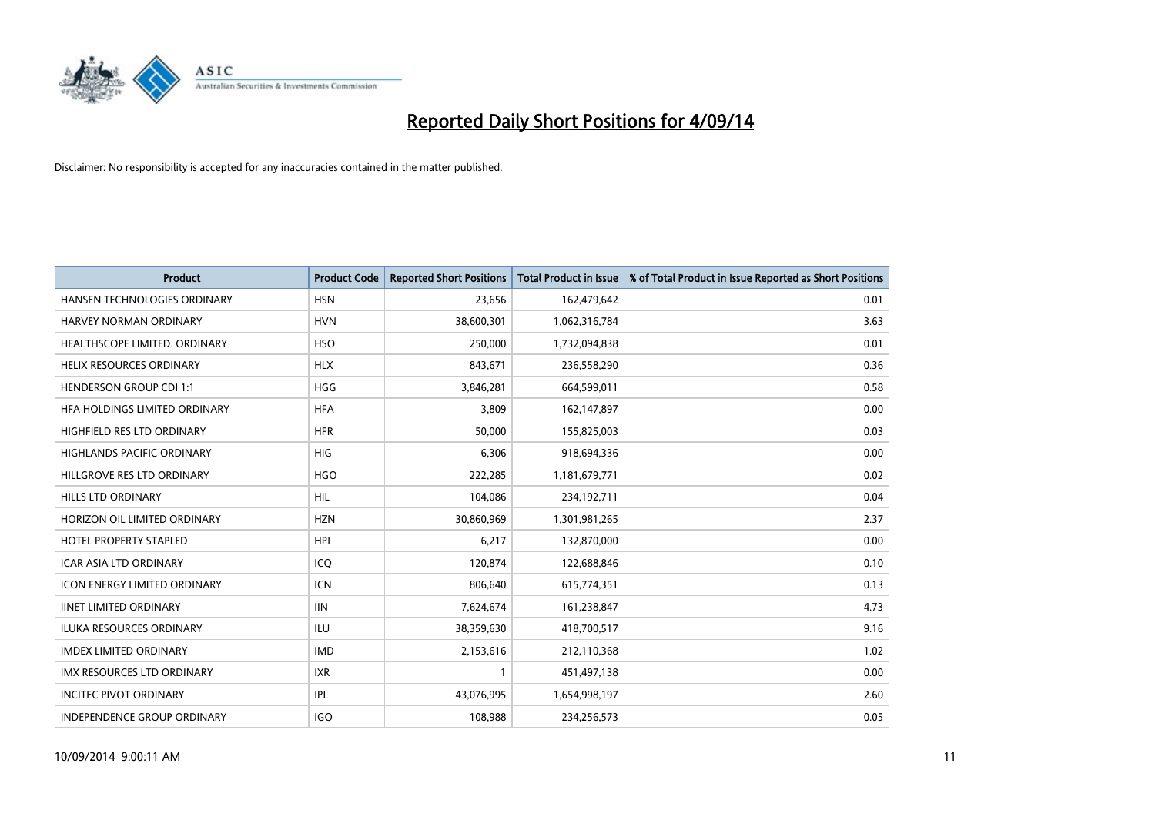

| <b>Product</b>                      | <b>Product Code</b> | <b>Reported Short Positions</b> | <b>Total Product in Issue</b> | % of Total Product in Issue Reported as Short Positions |
|-------------------------------------|---------------------|---------------------------------|-------------------------------|---------------------------------------------------------|
| HANSEN TECHNOLOGIES ORDINARY        | <b>HSN</b>          | 23,656                          | 162,479,642                   | 0.01                                                    |
| HARVEY NORMAN ORDINARY              | <b>HVN</b>          | 38,600,301                      | 1,062,316,784                 | 3.63                                                    |
| HEALTHSCOPE LIMITED. ORDINARY       | <b>HSO</b>          | 250,000                         | 1,732,094,838                 | 0.01                                                    |
| <b>HELIX RESOURCES ORDINARY</b>     | <b>HLX</b>          | 843,671                         | 236,558,290                   | 0.36                                                    |
| <b>HENDERSON GROUP CDI 1:1</b>      | <b>HGG</b>          | 3,846,281                       | 664,599,011                   | 0.58                                                    |
| HFA HOLDINGS LIMITED ORDINARY       | <b>HFA</b>          | 3,809                           | 162,147,897                   | 0.00                                                    |
| HIGHFIELD RES LTD ORDINARY          | <b>HFR</b>          | 50,000                          | 155,825,003                   | 0.03                                                    |
| <b>HIGHLANDS PACIFIC ORDINARY</b>   | <b>HIG</b>          | 6,306                           | 918,694,336                   | 0.00                                                    |
| HILLGROVE RES LTD ORDINARY          | <b>HGO</b>          | 222,285                         | 1,181,679,771                 | 0.02                                                    |
| <b>HILLS LTD ORDINARY</b>           | <b>HIL</b>          | 104,086                         | 234,192,711                   | 0.04                                                    |
| HORIZON OIL LIMITED ORDINARY        | <b>HZN</b>          | 30,860,969                      | 1,301,981,265                 | 2.37                                                    |
| <b>HOTEL PROPERTY STAPLED</b>       | <b>HPI</b>          | 6,217                           | 132,870,000                   | 0.00                                                    |
| <b>ICAR ASIA LTD ORDINARY</b>       | ICQ                 | 120,874                         | 122,688,846                   | 0.10                                                    |
| <b>ICON ENERGY LIMITED ORDINARY</b> | <b>ICN</b>          | 806,640                         | 615,774,351                   | 0.13                                                    |
| <b>IINET LIMITED ORDINARY</b>       | <b>IIN</b>          | 7,624,674                       | 161,238,847                   | 4.73                                                    |
| <b>ILUKA RESOURCES ORDINARY</b>     | ILU                 | 38,359,630                      | 418,700,517                   | 9.16                                                    |
| <b>IMDEX LIMITED ORDINARY</b>       | <b>IMD</b>          | 2,153,616                       | 212,110,368                   | 1.02                                                    |
| IMX RESOURCES LTD ORDINARY          | <b>IXR</b>          | $\mathbf{1}$                    | 451,497,138                   | 0.00                                                    |
| <b>INCITEC PIVOT ORDINARY</b>       | IPL                 | 43,076,995                      | 1,654,998,197                 | 2.60                                                    |
| INDEPENDENCE GROUP ORDINARY         | <b>IGO</b>          | 108,988                         | 234,256,573                   | 0.05                                                    |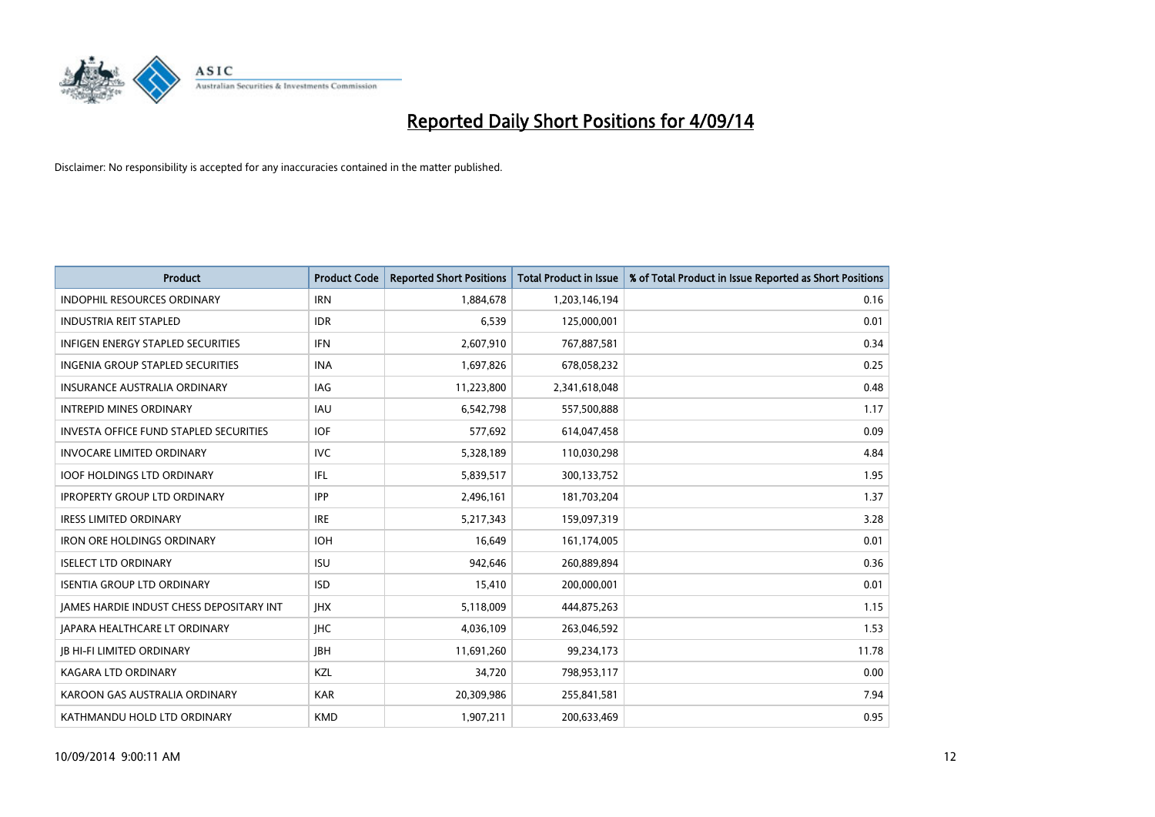

| <b>Product</b>                                | <b>Product Code</b> | <b>Reported Short Positions</b> | <b>Total Product in Issue</b> | % of Total Product in Issue Reported as Short Positions |
|-----------------------------------------------|---------------------|---------------------------------|-------------------------------|---------------------------------------------------------|
| <b>INDOPHIL RESOURCES ORDINARY</b>            | <b>IRN</b>          | 1,884,678                       | 1,203,146,194                 | 0.16                                                    |
| <b>INDUSTRIA REIT STAPLED</b>                 | <b>IDR</b>          | 6,539                           | 125,000,001                   | 0.01                                                    |
| <b>INFIGEN ENERGY STAPLED SECURITIES</b>      | <b>IFN</b>          | 2,607,910                       | 767,887,581                   | 0.34                                                    |
| INGENIA GROUP STAPLED SECURITIES              | <b>INA</b>          | 1,697,826                       | 678,058,232                   | 0.25                                                    |
| <b>INSURANCE AUSTRALIA ORDINARY</b>           | IAG                 | 11,223,800                      | 2,341,618,048                 | 0.48                                                    |
| <b>INTREPID MINES ORDINARY</b>                | <b>IAU</b>          | 6,542,798                       | 557,500,888                   | 1.17                                                    |
| <b>INVESTA OFFICE FUND STAPLED SECURITIES</b> | <b>IOF</b>          | 577,692                         | 614,047,458                   | 0.09                                                    |
| <b>INVOCARE LIMITED ORDINARY</b>              | <b>IVC</b>          | 5,328,189                       | 110,030,298                   | 4.84                                                    |
| <b>IOOF HOLDINGS LTD ORDINARY</b>             | IFL                 | 5,839,517                       | 300,133,752                   | 1.95                                                    |
| <b>IPROPERTY GROUP LTD ORDINARY</b>           | <b>IPP</b>          | 2,496,161                       | 181,703,204                   | 1.37                                                    |
| <b>IRESS LIMITED ORDINARY</b>                 | <b>IRE</b>          | 5,217,343                       | 159,097,319                   | 3.28                                                    |
| <b>IRON ORE HOLDINGS ORDINARY</b>             | <b>IOH</b>          | 16,649                          | 161,174,005                   | 0.01                                                    |
| <b>ISELECT LTD ORDINARY</b>                   | <b>ISU</b>          | 942,646                         | 260,889,894                   | 0.36                                                    |
| <b>ISENTIA GROUP LTD ORDINARY</b>             | <b>ISD</b>          | 15,410                          | 200,000,001                   | 0.01                                                    |
| JAMES HARDIE INDUST CHESS DEPOSITARY INT      | <b>IHX</b>          | 5,118,009                       | 444,875,263                   | 1.15                                                    |
| <b>JAPARA HEALTHCARE LT ORDINARY</b>          | <b>IHC</b>          | 4,036,109                       | 263,046,592                   | 1.53                                                    |
| <b>JB HI-FI LIMITED ORDINARY</b>              | <b>IBH</b>          | 11,691,260                      | 99,234,173                    | 11.78                                                   |
| <b>KAGARA LTD ORDINARY</b>                    | KZL                 | 34,720                          | 798,953,117                   | 0.00                                                    |
| KAROON GAS AUSTRALIA ORDINARY                 | <b>KAR</b>          | 20,309,986                      | 255,841,581                   | 7.94                                                    |
| KATHMANDU HOLD LTD ORDINARY                   | <b>KMD</b>          | 1,907,211                       | 200,633,469                   | 0.95                                                    |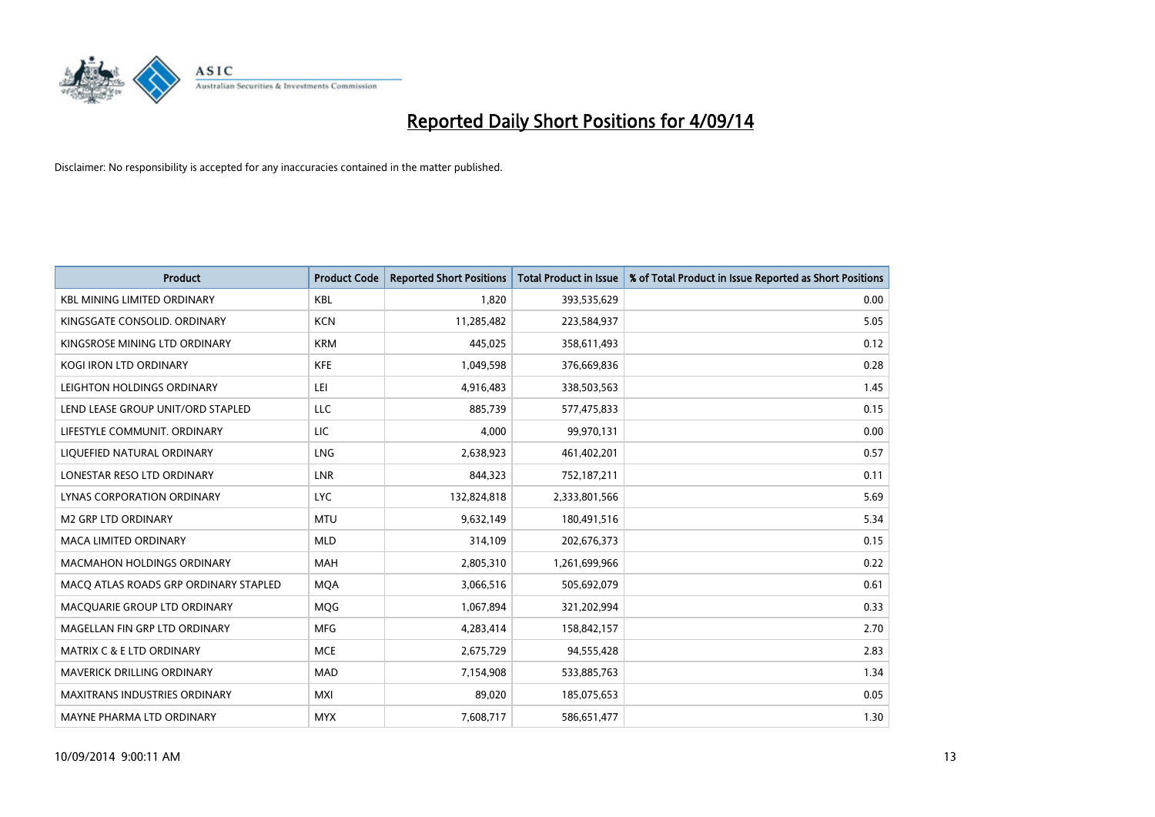

| <b>Product</b>                        | <b>Product Code</b> | <b>Reported Short Positions</b> | <b>Total Product in Issue</b> | % of Total Product in Issue Reported as Short Positions |
|---------------------------------------|---------------------|---------------------------------|-------------------------------|---------------------------------------------------------|
| <b>KBL MINING LIMITED ORDINARY</b>    | <b>KBL</b>          | 1,820                           | 393,535,629                   | 0.00                                                    |
| KINGSGATE CONSOLID. ORDINARY          | <b>KCN</b>          | 11,285,482                      | 223,584,937                   | 5.05                                                    |
| KINGSROSE MINING LTD ORDINARY         | <b>KRM</b>          | 445,025                         | 358,611,493                   | 0.12                                                    |
| KOGI IRON LTD ORDINARY                | <b>KFE</b>          | 1,049,598                       | 376,669,836                   | 0.28                                                    |
| LEIGHTON HOLDINGS ORDINARY            | LEI                 | 4,916,483                       | 338,503,563                   | 1.45                                                    |
| LEND LEASE GROUP UNIT/ORD STAPLED     | <b>LLC</b>          | 885,739                         | 577,475,833                   | 0.15                                                    |
| LIFESTYLE COMMUNIT. ORDINARY          | LIC                 | 4,000                           | 99,970,131                    | 0.00                                                    |
| LIQUEFIED NATURAL ORDINARY            | <b>LNG</b>          | 2,638,923                       | 461,402,201                   | 0.57                                                    |
| LONESTAR RESO LTD ORDINARY            | <b>LNR</b>          | 844,323                         | 752,187,211                   | 0.11                                                    |
| LYNAS CORPORATION ORDINARY            | <b>LYC</b>          | 132,824,818                     | 2,333,801,566                 | 5.69                                                    |
| <b>M2 GRP LTD ORDINARY</b>            | <b>MTU</b>          | 9,632,149                       | 180,491,516                   | 5.34                                                    |
| <b>MACA LIMITED ORDINARY</b>          | <b>MLD</b>          | 314,109                         | 202,676,373                   | 0.15                                                    |
| MACMAHON HOLDINGS ORDINARY            | MAH                 | 2,805,310                       | 1,261,699,966                 | 0.22                                                    |
| MACO ATLAS ROADS GRP ORDINARY STAPLED | <b>MOA</b>          | 3,066,516                       | 505,692,079                   | 0.61                                                    |
| MACQUARIE GROUP LTD ORDINARY          | MQG                 | 1,067,894                       | 321,202,994                   | 0.33                                                    |
| MAGELLAN FIN GRP LTD ORDINARY         | <b>MFG</b>          | 4,283,414                       | 158,842,157                   | 2.70                                                    |
| <b>MATRIX C &amp; E LTD ORDINARY</b>  | <b>MCE</b>          | 2,675,729                       | 94,555,428                    | 2.83                                                    |
| MAVERICK DRILLING ORDINARY            | <b>MAD</b>          | 7,154,908                       | 533,885,763                   | 1.34                                                    |
| <b>MAXITRANS INDUSTRIES ORDINARY</b>  | <b>MXI</b>          | 89,020                          | 185,075,653                   | 0.05                                                    |
| MAYNE PHARMA LTD ORDINARY             | <b>MYX</b>          | 7,608,717                       | 586,651,477                   | 1.30                                                    |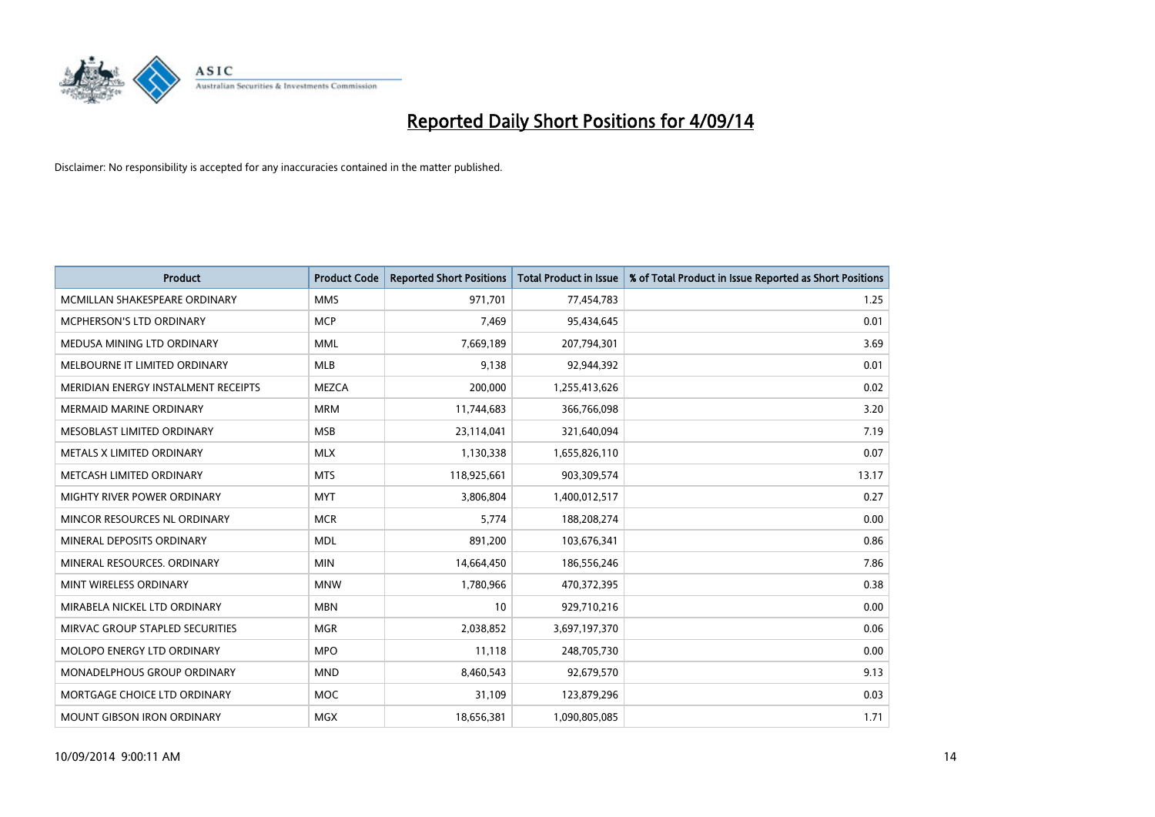

| <b>Product</b>                      | <b>Product Code</b> | <b>Reported Short Positions</b> | <b>Total Product in Issue</b> | % of Total Product in Issue Reported as Short Positions |
|-------------------------------------|---------------------|---------------------------------|-------------------------------|---------------------------------------------------------|
| MCMILLAN SHAKESPEARE ORDINARY       | <b>MMS</b>          | 971,701                         | 77,454,783                    | 1.25                                                    |
| MCPHERSON'S LTD ORDINARY            | <b>MCP</b>          | 7,469                           | 95,434,645                    | 0.01                                                    |
| MEDUSA MINING LTD ORDINARY          | <b>MML</b>          | 7,669,189                       | 207,794,301                   | 3.69                                                    |
| MELBOURNE IT LIMITED ORDINARY       | <b>MLB</b>          | 9,138                           | 92,944,392                    | 0.01                                                    |
| MERIDIAN ENERGY INSTALMENT RECEIPTS | <b>MEZCA</b>        | 200,000                         | 1,255,413,626                 | 0.02                                                    |
| <b>MERMAID MARINE ORDINARY</b>      | <b>MRM</b>          | 11,744,683                      | 366,766,098                   | 3.20                                                    |
| MESOBLAST LIMITED ORDINARY          | <b>MSB</b>          | 23,114,041                      | 321,640,094                   | 7.19                                                    |
| METALS X LIMITED ORDINARY           | <b>MLX</b>          | 1,130,338                       | 1,655,826,110                 | 0.07                                                    |
| METCASH LIMITED ORDINARY            | <b>MTS</b>          | 118,925,661                     | 903,309,574                   | 13.17                                                   |
| MIGHTY RIVER POWER ORDINARY         | <b>MYT</b>          | 3,806,804                       | 1,400,012,517                 | 0.27                                                    |
| MINCOR RESOURCES NL ORDINARY        | <b>MCR</b>          | 5,774                           | 188,208,274                   | 0.00                                                    |
| MINERAL DEPOSITS ORDINARY           | <b>MDL</b>          | 891,200                         | 103,676,341                   | 0.86                                                    |
| MINERAL RESOURCES. ORDINARY         | <b>MIN</b>          | 14,664,450                      | 186,556,246                   | 7.86                                                    |
| MINT WIRELESS ORDINARY              | <b>MNW</b>          | 1,780,966                       | 470,372,395                   | 0.38                                                    |
| MIRABELA NICKEL LTD ORDINARY        | <b>MBN</b>          | 10                              | 929,710,216                   | 0.00                                                    |
| MIRVAC GROUP STAPLED SECURITIES     | <b>MGR</b>          | 2,038,852                       | 3,697,197,370                 | 0.06                                                    |
| MOLOPO ENERGY LTD ORDINARY          | <b>MPO</b>          | 11,118                          | 248,705,730                   | 0.00                                                    |
| MONADELPHOUS GROUP ORDINARY         | <b>MND</b>          | 8,460,543                       | 92,679,570                    | 9.13                                                    |
| MORTGAGE CHOICE LTD ORDINARY        | <b>MOC</b>          | 31,109                          | 123,879,296                   | 0.03                                                    |
| MOUNT GIBSON IRON ORDINARY          | <b>MGX</b>          | 18,656,381                      | 1,090,805,085                 | 1.71                                                    |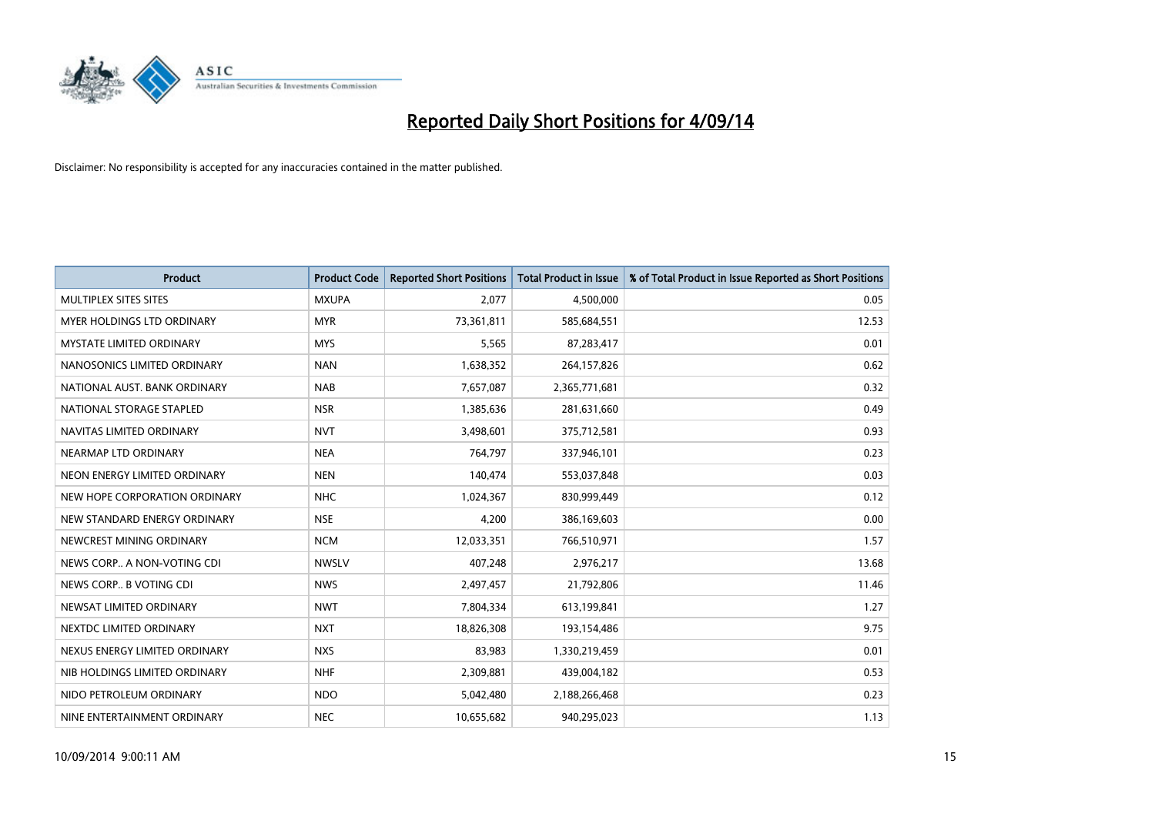

| <b>Product</b>                  | <b>Product Code</b> | <b>Reported Short Positions</b> | <b>Total Product in Issue</b> | % of Total Product in Issue Reported as Short Positions |
|---------------------------------|---------------------|---------------------------------|-------------------------------|---------------------------------------------------------|
| MULTIPLEX SITES SITES           | <b>MXUPA</b>        | 2,077                           | 4,500,000                     | 0.05                                                    |
| MYER HOLDINGS LTD ORDINARY      | <b>MYR</b>          | 73,361,811                      | 585,684,551                   | 12.53                                                   |
| <b>MYSTATE LIMITED ORDINARY</b> | <b>MYS</b>          | 5,565                           | 87,283,417                    | 0.01                                                    |
| NANOSONICS LIMITED ORDINARY     | <b>NAN</b>          | 1,638,352                       | 264,157,826                   | 0.62                                                    |
| NATIONAL AUST. BANK ORDINARY    | <b>NAB</b>          | 7,657,087                       | 2,365,771,681                 | 0.32                                                    |
| NATIONAL STORAGE STAPLED        | <b>NSR</b>          | 1,385,636                       | 281,631,660                   | 0.49                                                    |
| NAVITAS LIMITED ORDINARY        | <b>NVT</b>          | 3,498,601                       | 375,712,581                   | 0.93                                                    |
| NEARMAP LTD ORDINARY            | <b>NEA</b>          | 764,797                         | 337,946,101                   | 0.23                                                    |
| NEON ENERGY LIMITED ORDINARY    | <b>NEN</b>          | 140,474                         | 553,037,848                   | 0.03                                                    |
| NEW HOPE CORPORATION ORDINARY   | <b>NHC</b>          | 1,024,367                       | 830,999,449                   | 0.12                                                    |
| NEW STANDARD ENERGY ORDINARY    | <b>NSE</b>          | 4,200                           | 386,169,603                   | 0.00                                                    |
| NEWCREST MINING ORDINARY        | <b>NCM</b>          | 12,033,351                      | 766,510,971                   | 1.57                                                    |
| NEWS CORP A NON-VOTING CDI      | <b>NWSLV</b>        | 407,248                         | 2,976,217                     | 13.68                                                   |
| NEWS CORP B VOTING CDI          | <b>NWS</b>          | 2,497,457                       | 21,792,806                    | 11.46                                                   |
| NEWSAT LIMITED ORDINARY         | <b>NWT</b>          | 7,804,334                       | 613,199,841                   | 1.27                                                    |
| NEXTDC LIMITED ORDINARY         | <b>NXT</b>          | 18,826,308                      | 193,154,486                   | 9.75                                                    |
| NEXUS ENERGY LIMITED ORDINARY   | <b>NXS</b>          | 83,983                          | 1,330,219,459                 | 0.01                                                    |
| NIB HOLDINGS LIMITED ORDINARY   | <b>NHF</b>          | 2,309,881                       | 439,004,182                   | 0.53                                                    |
| NIDO PETROLEUM ORDINARY         | <b>NDO</b>          | 5,042,480                       | 2,188,266,468                 | 0.23                                                    |
| NINE ENTERTAINMENT ORDINARY     | <b>NEC</b>          | 10,655,682                      | 940,295,023                   | 1.13                                                    |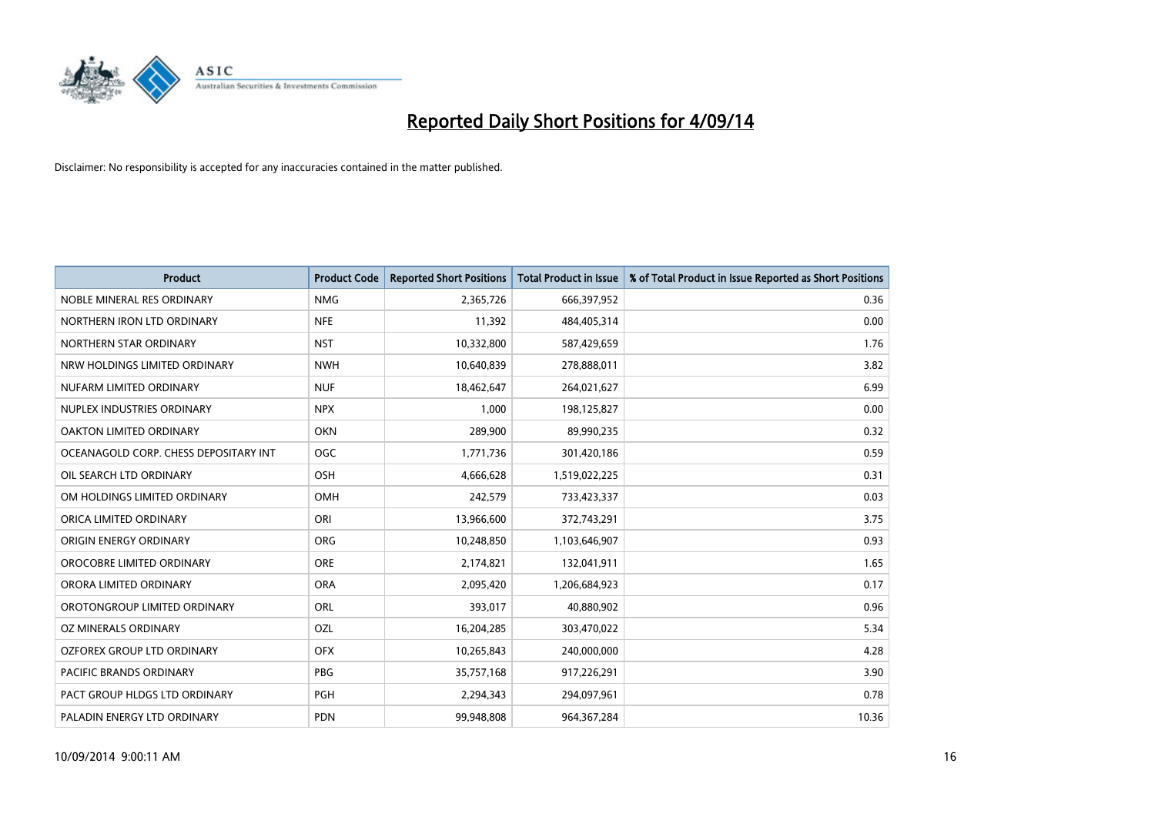

| <b>Product</b>                        | <b>Product Code</b> | <b>Reported Short Positions</b> | <b>Total Product in Issue</b> | % of Total Product in Issue Reported as Short Positions |
|---------------------------------------|---------------------|---------------------------------|-------------------------------|---------------------------------------------------------|
| NOBLE MINERAL RES ORDINARY            | <b>NMG</b>          | 2,365,726                       | 666,397,952                   | 0.36                                                    |
| NORTHERN IRON LTD ORDINARY            | <b>NFE</b>          | 11,392                          | 484,405,314                   | 0.00                                                    |
| NORTHERN STAR ORDINARY                | <b>NST</b>          | 10,332,800                      | 587,429,659                   | 1.76                                                    |
| NRW HOLDINGS LIMITED ORDINARY         | <b>NWH</b>          | 10,640,839                      | 278,888,011                   | 3.82                                                    |
| NUFARM LIMITED ORDINARY               | <b>NUF</b>          | 18,462,647                      | 264,021,627                   | 6.99                                                    |
| NUPLEX INDUSTRIES ORDINARY            | <b>NPX</b>          | 1,000                           | 198,125,827                   | 0.00                                                    |
| OAKTON LIMITED ORDINARY               | <b>OKN</b>          | 289,900                         | 89,990,235                    | 0.32                                                    |
| OCEANAGOLD CORP. CHESS DEPOSITARY INT | <b>OGC</b>          | 1,771,736                       | 301,420,186                   | 0.59                                                    |
| OIL SEARCH LTD ORDINARY               | OSH                 | 4,666,628                       | 1,519,022,225                 | 0.31                                                    |
| OM HOLDINGS LIMITED ORDINARY          | <b>OMH</b>          | 242,579                         | 733,423,337                   | 0.03                                                    |
| ORICA LIMITED ORDINARY                | ORI                 | 13,966,600                      | 372,743,291                   | 3.75                                                    |
| ORIGIN ENERGY ORDINARY                | <b>ORG</b>          | 10,248,850                      | 1,103,646,907                 | 0.93                                                    |
| OROCOBRE LIMITED ORDINARY             | <b>ORE</b>          | 2,174,821                       | 132,041,911                   | 1.65                                                    |
| ORORA LIMITED ORDINARY                | <b>ORA</b>          | 2,095,420                       | 1,206,684,923                 | 0.17                                                    |
| OROTONGROUP LIMITED ORDINARY          | ORL                 | 393,017                         | 40,880,902                    | 0.96                                                    |
| OZ MINERALS ORDINARY                  | OZL                 | 16,204,285                      | 303,470,022                   | 5.34                                                    |
| OZFOREX GROUP LTD ORDINARY            | <b>OFX</b>          | 10,265,843                      | 240,000,000                   | 4.28                                                    |
| <b>PACIFIC BRANDS ORDINARY</b>        | <b>PBG</b>          | 35,757,168                      | 917,226,291                   | 3.90                                                    |
| PACT GROUP HLDGS LTD ORDINARY         | <b>PGH</b>          | 2,294,343                       | 294,097,961                   | 0.78                                                    |
| PALADIN ENERGY LTD ORDINARY           | <b>PDN</b>          | 99,948,808                      | 964, 367, 284                 | 10.36                                                   |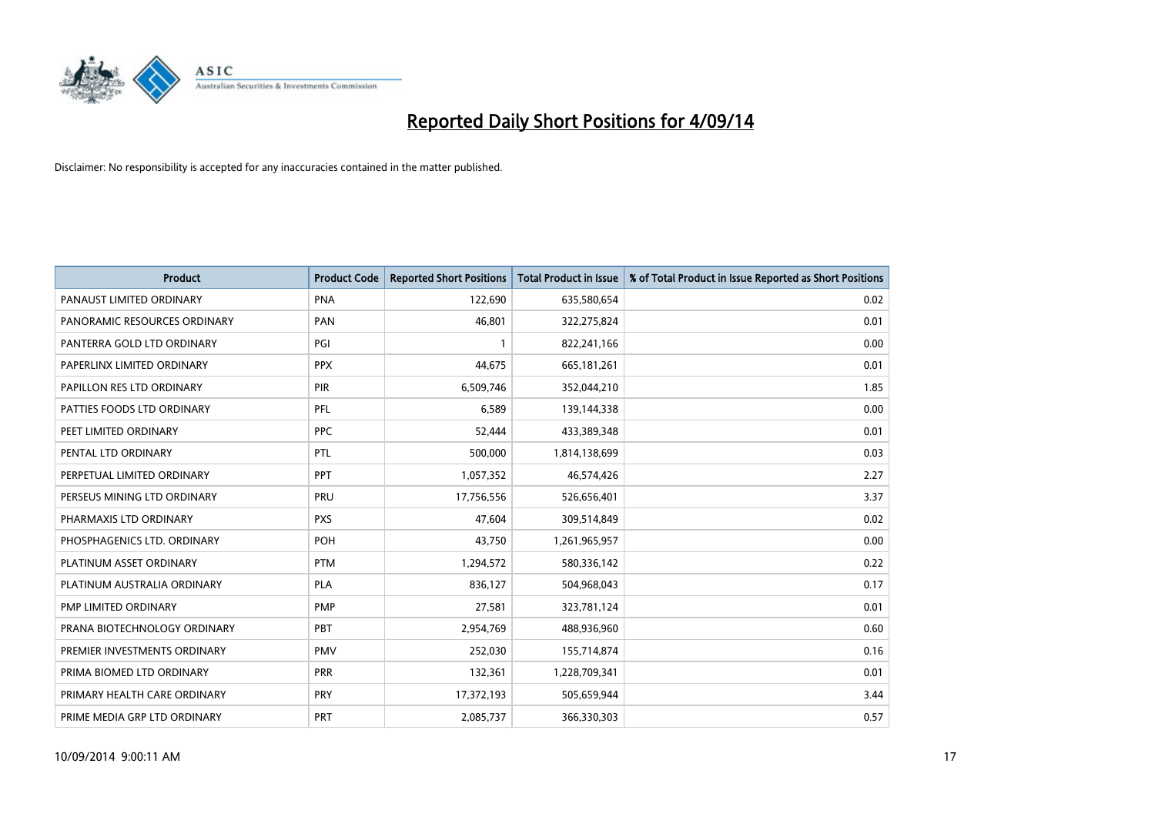

| <b>Product</b>               | <b>Product Code</b> | <b>Reported Short Positions</b> | <b>Total Product in Issue</b> | % of Total Product in Issue Reported as Short Positions |
|------------------------------|---------------------|---------------------------------|-------------------------------|---------------------------------------------------------|
| PANAUST LIMITED ORDINARY     | <b>PNA</b>          | 122,690                         | 635,580,654                   | 0.02                                                    |
| PANORAMIC RESOURCES ORDINARY | PAN                 | 46,801                          | 322,275,824                   | 0.01                                                    |
| PANTERRA GOLD LTD ORDINARY   | PGI                 | $\mathbf{1}$                    | 822,241,166                   | 0.00                                                    |
| PAPERLINX LIMITED ORDINARY   | <b>PPX</b>          | 44,675                          | 665, 181, 261                 | 0.01                                                    |
| PAPILLON RES LTD ORDINARY    | PIR                 | 6,509,746                       | 352,044,210                   | 1.85                                                    |
| PATTIES FOODS LTD ORDINARY   | PFL                 | 6,589                           | 139,144,338                   | 0.00                                                    |
| PEET LIMITED ORDINARY        | <b>PPC</b>          | 52,444                          | 433,389,348                   | 0.01                                                    |
| PENTAL LTD ORDINARY          | PTL                 | 500,000                         | 1,814,138,699                 | 0.03                                                    |
| PERPETUAL LIMITED ORDINARY   | PPT                 | 1,057,352                       | 46,574,426                    | 2.27                                                    |
| PERSEUS MINING LTD ORDINARY  | <b>PRU</b>          | 17,756,556                      | 526,656,401                   | 3.37                                                    |
| PHARMAXIS LTD ORDINARY       | <b>PXS</b>          | 47,604                          | 309,514,849                   | 0.02                                                    |
| PHOSPHAGENICS LTD. ORDINARY  | <b>POH</b>          | 43,750                          | 1,261,965,957                 | 0.00                                                    |
| PLATINUM ASSET ORDINARY      | <b>PTM</b>          | 1,294,572                       | 580,336,142                   | 0.22                                                    |
| PLATINUM AUSTRALIA ORDINARY  | <b>PLA</b>          | 836,127                         | 504,968,043                   | 0.17                                                    |
| PMP LIMITED ORDINARY         | <b>PMP</b>          | 27,581                          | 323,781,124                   | 0.01                                                    |
| PRANA BIOTECHNOLOGY ORDINARY | <b>PBT</b>          | 2,954,769                       | 488,936,960                   | 0.60                                                    |
| PREMIER INVESTMENTS ORDINARY | <b>PMV</b>          | 252,030                         | 155,714,874                   | 0.16                                                    |
| PRIMA BIOMED LTD ORDINARY    | <b>PRR</b>          | 132,361                         | 1,228,709,341                 | 0.01                                                    |
| PRIMARY HEALTH CARE ORDINARY | <b>PRY</b>          | 17,372,193                      | 505,659,944                   | 3.44                                                    |
| PRIME MEDIA GRP LTD ORDINARY | <b>PRT</b>          | 2,085,737                       | 366,330,303                   | 0.57                                                    |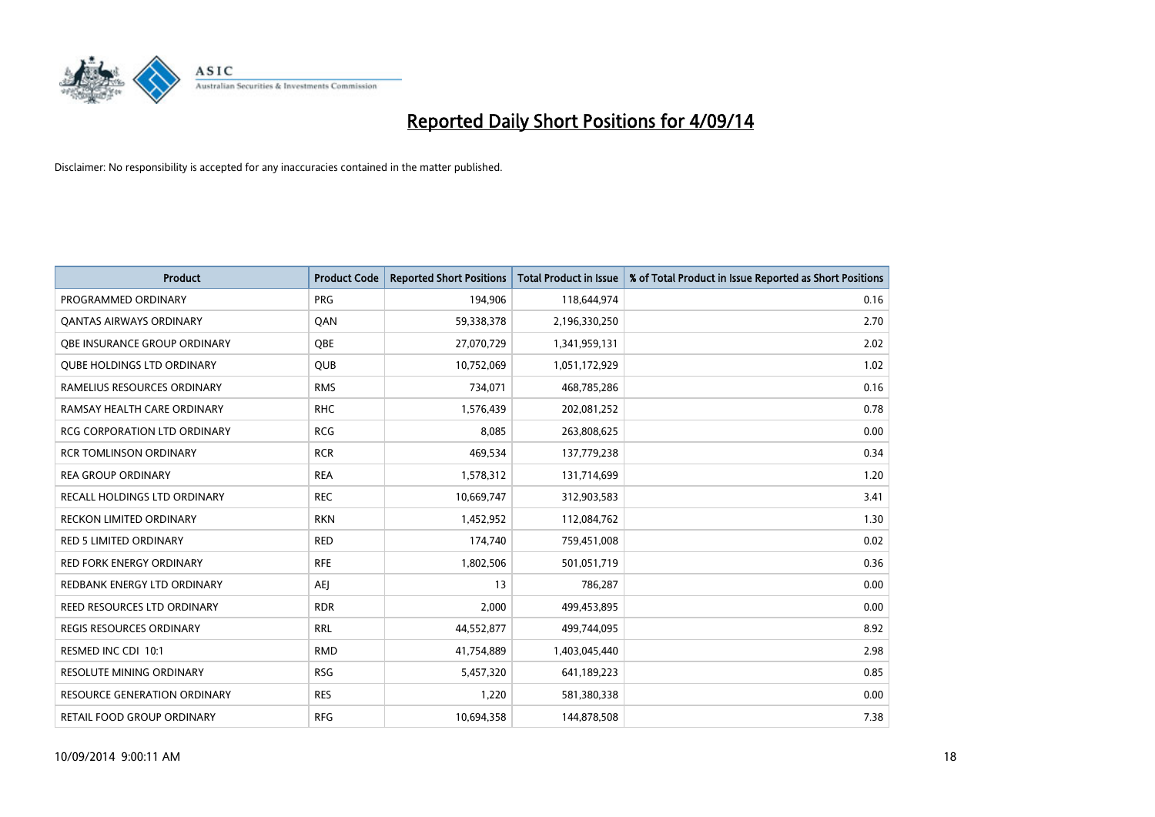

| <b>Product</b>                      | <b>Product Code</b> | <b>Reported Short Positions</b> | <b>Total Product in Issue</b> | % of Total Product in Issue Reported as Short Positions |
|-------------------------------------|---------------------|---------------------------------|-------------------------------|---------------------------------------------------------|
| PROGRAMMED ORDINARY                 | <b>PRG</b>          | 194,906                         | 118,644,974                   | 0.16                                                    |
| <b>QANTAS AIRWAYS ORDINARY</b>      | QAN                 | 59,338,378                      | 2,196,330,250                 | 2.70                                                    |
| <b>OBE INSURANCE GROUP ORDINARY</b> | <b>OBE</b>          | 27,070,729                      | 1,341,959,131                 | 2.02                                                    |
| <b>QUBE HOLDINGS LTD ORDINARY</b>   | <b>QUB</b>          | 10,752,069                      | 1,051,172,929                 | 1.02                                                    |
| RAMELIUS RESOURCES ORDINARY         | <b>RMS</b>          | 734,071                         | 468,785,286                   | 0.16                                                    |
| RAMSAY HEALTH CARE ORDINARY         | <b>RHC</b>          | 1,576,439                       | 202,081,252                   | 0.78                                                    |
| <b>RCG CORPORATION LTD ORDINARY</b> | <b>RCG</b>          | 8,085                           | 263,808,625                   | 0.00                                                    |
| <b>RCR TOMLINSON ORDINARY</b>       | <b>RCR</b>          | 469,534                         | 137,779,238                   | 0.34                                                    |
| <b>REA GROUP ORDINARY</b>           | <b>REA</b>          | 1,578,312                       | 131,714,699                   | 1.20                                                    |
| <b>RECALL HOLDINGS LTD ORDINARY</b> | <b>REC</b>          | 10,669,747                      | 312,903,583                   | 3.41                                                    |
| RECKON LIMITED ORDINARY             | <b>RKN</b>          | 1,452,952                       | 112,084,762                   | 1.30                                                    |
| <b>RED 5 LIMITED ORDINARY</b>       | <b>RED</b>          | 174,740                         | 759,451,008                   | 0.02                                                    |
| RED FORK ENERGY ORDINARY            | <b>RFE</b>          | 1,802,506                       | 501,051,719                   | 0.36                                                    |
| REDBANK ENERGY LTD ORDINARY         | <b>AEJ</b>          | 13                              | 786,287                       | 0.00                                                    |
| <b>REED RESOURCES LTD ORDINARY</b>  | <b>RDR</b>          | 2,000                           | 499,453,895                   | 0.00                                                    |
| <b>REGIS RESOURCES ORDINARY</b>     | <b>RRL</b>          | 44,552,877                      | 499,744,095                   | 8.92                                                    |
| RESMED INC CDI 10:1                 | <b>RMD</b>          | 41,754,889                      | 1,403,045,440                 | 2.98                                                    |
| RESOLUTE MINING ORDINARY            | <b>RSG</b>          | 5,457,320                       | 641,189,223                   | 0.85                                                    |
| <b>RESOURCE GENERATION ORDINARY</b> | <b>RES</b>          | 1,220                           | 581,380,338                   | 0.00                                                    |
| RETAIL FOOD GROUP ORDINARY          | <b>RFG</b>          | 10,694,358                      | 144,878,508                   | 7.38                                                    |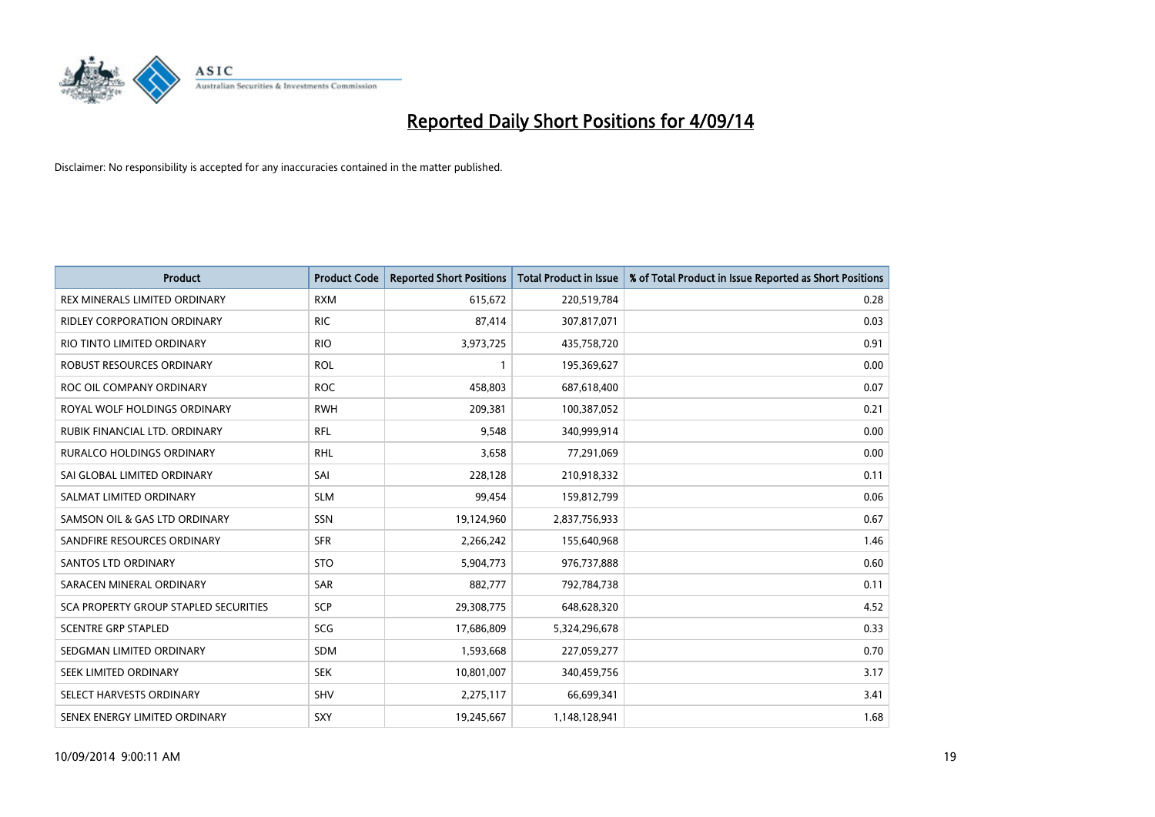

| <b>Product</b>                               | <b>Product Code</b> | <b>Reported Short Positions</b> | <b>Total Product in Issue</b> | % of Total Product in Issue Reported as Short Positions |
|----------------------------------------------|---------------------|---------------------------------|-------------------------------|---------------------------------------------------------|
| REX MINERALS LIMITED ORDINARY                | <b>RXM</b>          | 615,672                         | 220,519,784                   | 0.28                                                    |
| RIDLEY CORPORATION ORDINARY                  | <b>RIC</b>          | 87,414                          | 307,817,071                   | 0.03                                                    |
| RIO TINTO LIMITED ORDINARY                   | <b>RIO</b>          | 3,973,725                       | 435,758,720                   | 0.91                                                    |
| ROBUST RESOURCES ORDINARY                    | <b>ROL</b>          | $\mathbf{1}$                    | 195,369,627                   | 0.00                                                    |
| ROC OIL COMPANY ORDINARY                     | <b>ROC</b>          | 458,803                         | 687,618,400                   | 0.07                                                    |
| ROYAL WOLF HOLDINGS ORDINARY                 | <b>RWH</b>          | 209,381                         | 100,387,052                   | 0.21                                                    |
| RUBIK FINANCIAL LTD. ORDINARY                | <b>RFL</b>          | 9,548                           | 340,999,914                   | 0.00                                                    |
| RURALCO HOLDINGS ORDINARY                    | <b>RHL</b>          | 3,658                           | 77,291,069                    | 0.00                                                    |
| SAI GLOBAL LIMITED ORDINARY                  | SAI                 | 228,128                         | 210,918,332                   | 0.11                                                    |
| SALMAT LIMITED ORDINARY                      | <b>SLM</b>          | 99,454                          | 159,812,799                   | 0.06                                                    |
| SAMSON OIL & GAS LTD ORDINARY                | SSN                 | 19,124,960                      | 2,837,756,933                 | 0.67                                                    |
| SANDFIRE RESOURCES ORDINARY                  | <b>SFR</b>          | 2,266,242                       | 155,640,968                   | 1.46                                                    |
| SANTOS LTD ORDINARY                          | <b>STO</b>          | 5,904,773                       | 976,737,888                   | 0.60                                                    |
| SARACEN MINERAL ORDINARY                     | SAR                 | 882,777                         | 792,784,738                   | 0.11                                                    |
| <b>SCA PROPERTY GROUP STAPLED SECURITIES</b> | SCP                 | 29,308,775                      | 648,628,320                   | 4.52                                                    |
| <b>SCENTRE GRP STAPLED</b>                   | <b>SCG</b>          | 17,686,809                      | 5,324,296,678                 | 0.33                                                    |
| SEDGMAN LIMITED ORDINARY                     | SDM                 | 1,593,668                       | 227,059,277                   | 0.70                                                    |
| SEEK LIMITED ORDINARY                        | <b>SEK</b>          | 10,801,007                      | 340,459,756                   | 3.17                                                    |
| SELECT HARVESTS ORDINARY                     | SHV                 | 2,275,117                       | 66,699,341                    | 3.41                                                    |
| SENEX ENERGY LIMITED ORDINARY                | SXY                 | 19,245,667                      | 1,148,128,941                 | 1.68                                                    |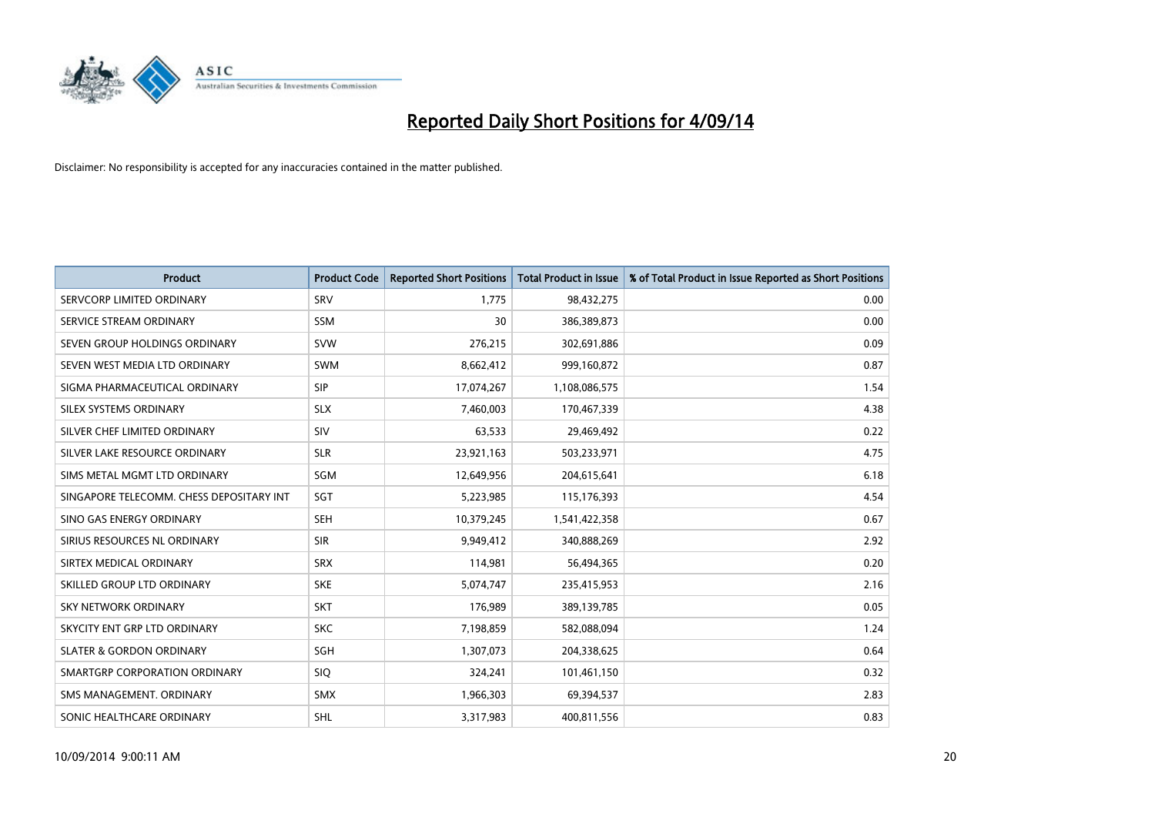

| <b>Product</b>                           | <b>Product Code</b> | <b>Reported Short Positions</b> | <b>Total Product in Issue</b> | % of Total Product in Issue Reported as Short Positions |
|------------------------------------------|---------------------|---------------------------------|-------------------------------|---------------------------------------------------------|
| SERVCORP LIMITED ORDINARY                | SRV                 | 1,775                           | 98,432,275                    | 0.00                                                    |
| SERVICE STREAM ORDINARY                  | <b>SSM</b>          | 30                              | 386,389,873                   | 0.00                                                    |
| SEVEN GROUP HOLDINGS ORDINARY            | <b>SVW</b>          | 276,215                         | 302,691,886                   | 0.09                                                    |
| SEVEN WEST MEDIA LTD ORDINARY            | <b>SWM</b>          | 8,662,412                       | 999,160,872                   | 0.87                                                    |
| SIGMA PHARMACEUTICAL ORDINARY            | <b>SIP</b>          | 17,074,267                      | 1,108,086,575                 | 1.54                                                    |
| SILEX SYSTEMS ORDINARY                   | <b>SLX</b>          | 7,460,003                       | 170,467,339                   | 4.38                                                    |
| SILVER CHEF LIMITED ORDINARY             | <b>SIV</b>          | 63,533                          | 29,469,492                    | 0.22                                                    |
| SILVER LAKE RESOURCE ORDINARY            | <b>SLR</b>          | 23,921,163                      | 503,233,971                   | 4.75                                                    |
| SIMS METAL MGMT LTD ORDINARY             | SGM                 | 12,649,956                      | 204,615,641                   | 6.18                                                    |
| SINGAPORE TELECOMM. CHESS DEPOSITARY INT | SGT                 | 5,223,985                       | 115,176,393                   | 4.54                                                    |
| SINO GAS ENERGY ORDINARY                 | <b>SEH</b>          | 10,379,245                      | 1,541,422,358                 | 0.67                                                    |
| SIRIUS RESOURCES NL ORDINARY             | <b>SIR</b>          | 9,949,412                       | 340,888,269                   | 2.92                                                    |
| SIRTEX MEDICAL ORDINARY                  | <b>SRX</b>          | 114,981                         | 56,494,365                    | 0.20                                                    |
| SKILLED GROUP LTD ORDINARY               | <b>SKE</b>          | 5,074,747                       | 235,415,953                   | 2.16                                                    |
| <b>SKY NETWORK ORDINARY</b>              | <b>SKT</b>          | 176,989                         | 389,139,785                   | 0.05                                                    |
| SKYCITY ENT GRP LTD ORDINARY             | <b>SKC</b>          | 7,198,859                       | 582,088,094                   | 1.24                                                    |
| <b>SLATER &amp; GORDON ORDINARY</b>      | SGH                 | 1,307,073                       | 204,338,625                   | 0.64                                                    |
| SMARTGRP CORPORATION ORDINARY            | <b>SIQ</b>          | 324,241                         | 101,461,150                   | 0.32                                                    |
| SMS MANAGEMENT, ORDINARY                 | <b>SMX</b>          | 1,966,303                       | 69,394,537                    | 2.83                                                    |
| SONIC HEALTHCARE ORDINARY                | <b>SHL</b>          | 3,317,983                       | 400,811,556                   | 0.83                                                    |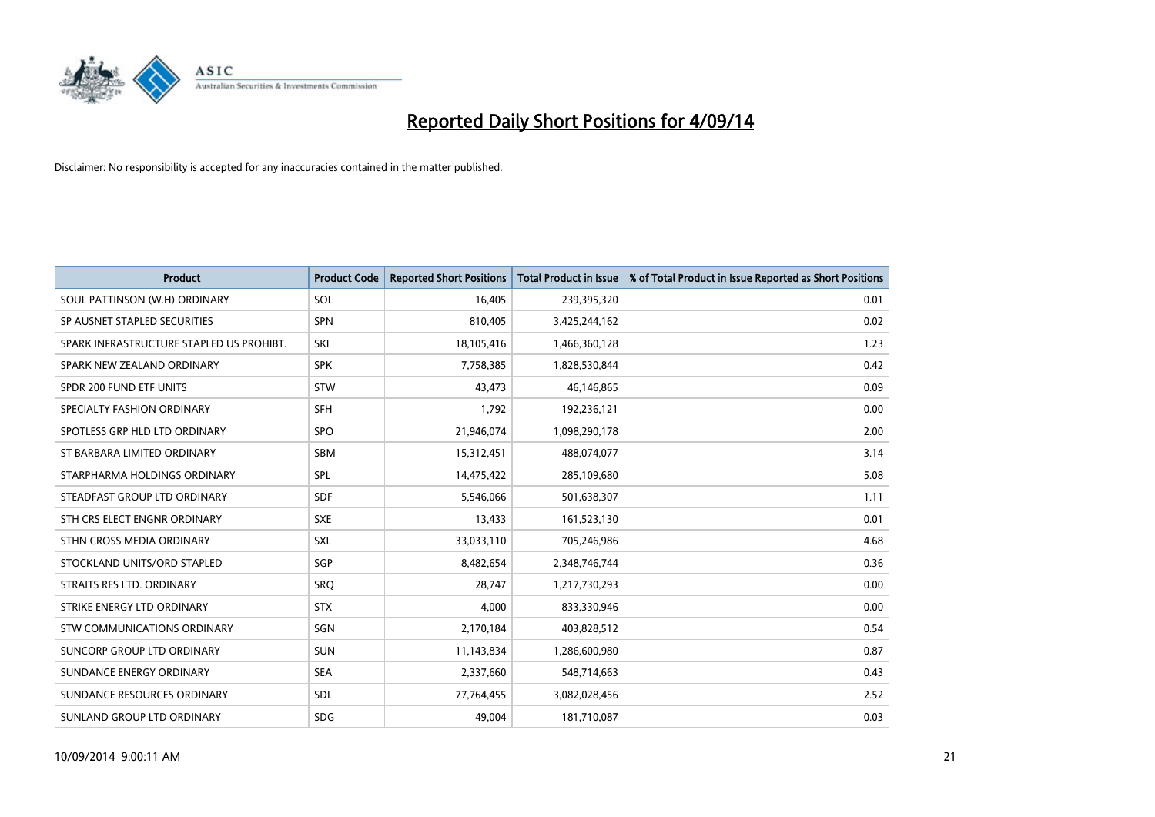

| <b>Product</b>                           | <b>Product Code</b> | <b>Reported Short Positions</b> | <b>Total Product in Issue</b> | % of Total Product in Issue Reported as Short Positions |
|------------------------------------------|---------------------|---------------------------------|-------------------------------|---------------------------------------------------------|
| SOUL PATTINSON (W.H) ORDINARY            | SOL                 | 16,405                          | 239,395,320                   | 0.01                                                    |
| SP AUSNET STAPLED SECURITIES             | <b>SPN</b>          | 810,405                         | 3,425,244,162                 | 0.02                                                    |
| SPARK INFRASTRUCTURE STAPLED US PROHIBT. | SKI                 | 18,105,416                      | 1,466,360,128                 | 1.23                                                    |
| SPARK NEW ZEALAND ORDINARY               | <b>SPK</b>          | 7,758,385                       | 1,828,530,844                 | 0.42                                                    |
| SPDR 200 FUND ETF UNITS                  | <b>STW</b>          | 43,473                          | 46,146,865                    | 0.09                                                    |
| SPECIALTY FASHION ORDINARY               | <b>SFH</b>          | 1,792                           | 192,236,121                   | 0.00                                                    |
| SPOTLESS GRP HLD LTD ORDINARY            | <b>SPO</b>          | 21,946,074                      | 1,098,290,178                 | 2.00                                                    |
| ST BARBARA LIMITED ORDINARY              | SBM                 | 15,312,451                      | 488,074,077                   | 3.14                                                    |
| STARPHARMA HOLDINGS ORDINARY             | <b>SPL</b>          | 14,475,422                      | 285,109,680                   | 5.08                                                    |
| STEADFAST GROUP LTD ORDINARY             | <b>SDF</b>          | 5,546,066                       | 501,638,307                   | 1.11                                                    |
| STH CRS ELECT ENGNR ORDINARY             | <b>SXE</b>          | 13,433                          | 161,523,130                   | 0.01                                                    |
| STHN CROSS MEDIA ORDINARY                | SXL                 | 33,033,110                      | 705,246,986                   | 4.68                                                    |
| STOCKLAND UNITS/ORD STAPLED              | SGP                 | 8,482,654                       | 2,348,746,744                 | 0.36                                                    |
| STRAITS RES LTD. ORDINARY                | SRO                 | 28,747                          | 1,217,730,293                 | 0.00                                                    |
| STRIKE ENERGY LTD ORDINARY               | <b>STX</b>          | 4,000                           | 833,330,946                   | 0.00                                                    |
| STW COMMUNICATIONS ORDINARY              | SGN                 | 2,170,184                       | 403,828,512                   | 0.54                                                    |
| SUNCORP GROUP LTD ORDINARY               | <b>SUN</b>          | 11,143,834                      | 1,286,600,980                 | 0.87                                                    |
| SUNDANCE ENERGY ORDINARY                 | <b>SEA</b>          | 2,337,660                       | 548,714,663                   | 0.43                                                    |
| SUNDANCE RESOURCES ORDINARY              | <b>SDL</b>          | 77,764,455                      | 3,082,028,456                 | 2.52                                                    |
| SUNLAND GROUP LTD ORDINARY               | <b>SDG</b>          | 49,004                          | 181,710,087                   | 0.03                                                    |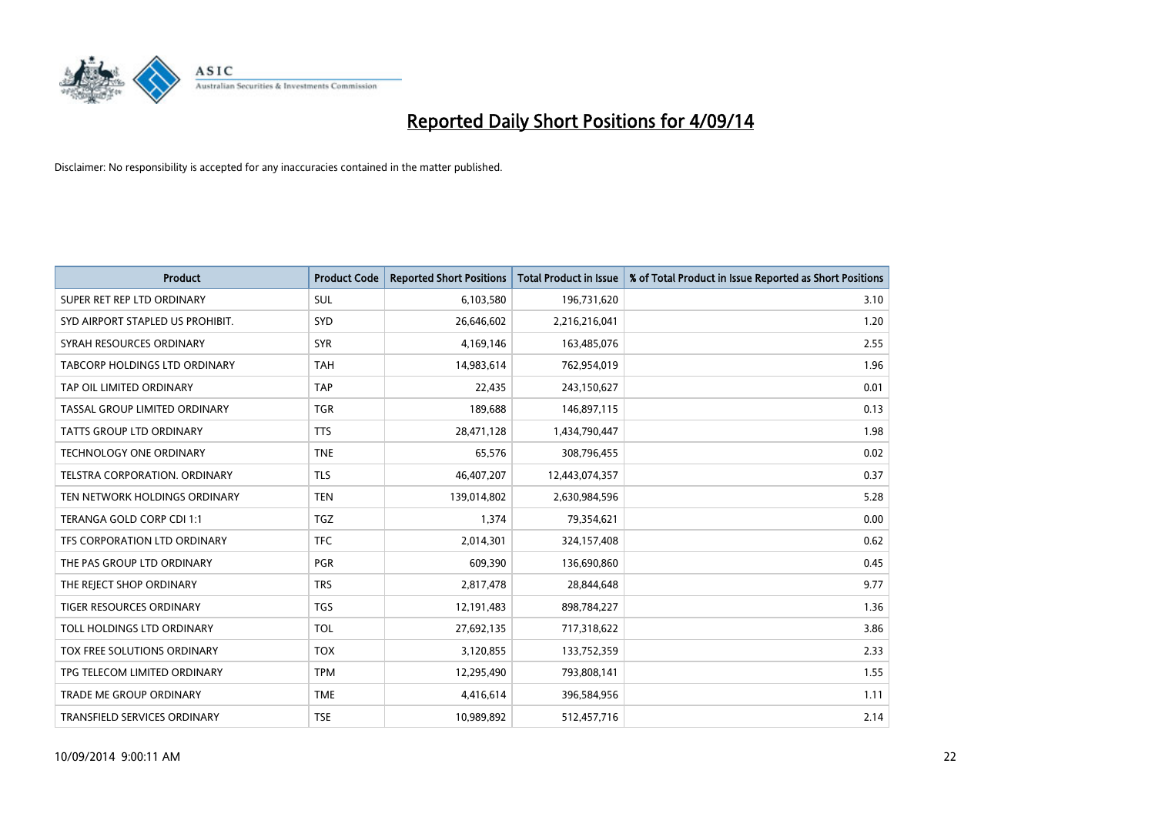

| <b>Product</b>                   | <b>Product Code</b> | <b>Reported Short Positions</b> | <b>Total Product in Issue</b> | % of Total Product in Issue Reported as Short Positions |
|----------------------------------|---------------------|---------------------------------|-------------------------------|---------------------------------------------------------|
| SUPER RET REP LTD ORDINARY       | <b>SUL</b>          | 6,103,580                       | 196,731,620                   | 3.10                                                    |
| SYD AIRPORT STAPLED US PROHIBIT. | SYD                 | 26,646,602                      | 2,216,216,041                 | 1.20                                                    |
| SYRAH RESOURCES ORDINARY         | <b>SYR</b>          | 4,169,146                       | 163,485,076                   | 2.55                                                    |
| TABCORP HOLDINGS LTD ORDINARY    | <b>TAH</b>          | 14,983,614                      | 762,954,019                   | 1.96                                                    |
| TAP OIL LIMITED ORDINARY         | <b>TAP</b>          | 22,435                          | 243,150,627                   | 0.01                                                    |
| TASSAL GROUP LIMITED ORDINARY    | <b>TGR</b>          | 189,688                         | 146,897,115                   | 0.13                                                    |
| TATTS GROUP LTD ORDINARY         | <b>TTS</b>          | 28,471,128                      | 1,434,790,447                 | 1.98                                                    |
| TECHNOLOGY ONE ORDINARY          | <b>TNE</b>          | 65,576                          | 308,796,455                   | 0.02                                                    |
| TELSTRA CORPORATION, ORDINARY    | <b>TLS</b>          | 46,407,207                      | 12,443,074,357                | 0.37                                                    |
| TEN NETWORK HOLDINGS ORDINARY    | <b>TEN</b>          | 139,014,802                     | 2,630,984,596                 | 5.28                                                    |
| TERANGA GOLD CORP CDI 1:1        | <b>TGZ</b>          | 1,374                           | 79,354,621                    | 0.00                                                    |
| TFS CORPORATION LTD ORDINARY     | <b>TFC</b>          | 2,014,301                       | 324,157,408                   | 0.62                                                    |
| THE PAS GROUP LTD ORDINARY       | <b>PGR</b>          | 609,390                         | 136,690,860                   | 0.45                                                    |
| THE REJECT SHOP ORDINARY         | <b>TRS</b>          | 2,817,478                       | 28,844,648                    | 9.77                                                    |
| <b>TIGER RESOURCES ORDINARY</b>  | <b>TGS</b>          | 12,191,483                      | 898,784,227                   | 1.36                                                    |
| TOLL HOLDINGS LTD ORDINARY       | <b>TOL</b>          | 27,692,135                      | 717,318,622                   | 3.86                                                    |
| TOX FREE SOLUTIONS ORDINARY      | <b>TOX</b>          | 3,120,855                       | 133,752,359                   | 2.33                                                    |
| TPG TELECOM LIMITED ORDINARY     | <b>TPM</b>          | 12,295,490                      | 793,808,141                   | 1.55                                                    |
| <b>TRADE ME GROUP ORDINARY</b>   | <b>TME</b>          | 4,416,614                       | 396,584,956                   | 1.11                                                    |
| TRANSFIELD SERVICES ORDINARY     | <b>TSE</b>          | 10,989,892                      | 512,457,716                   | 2.14                                                    |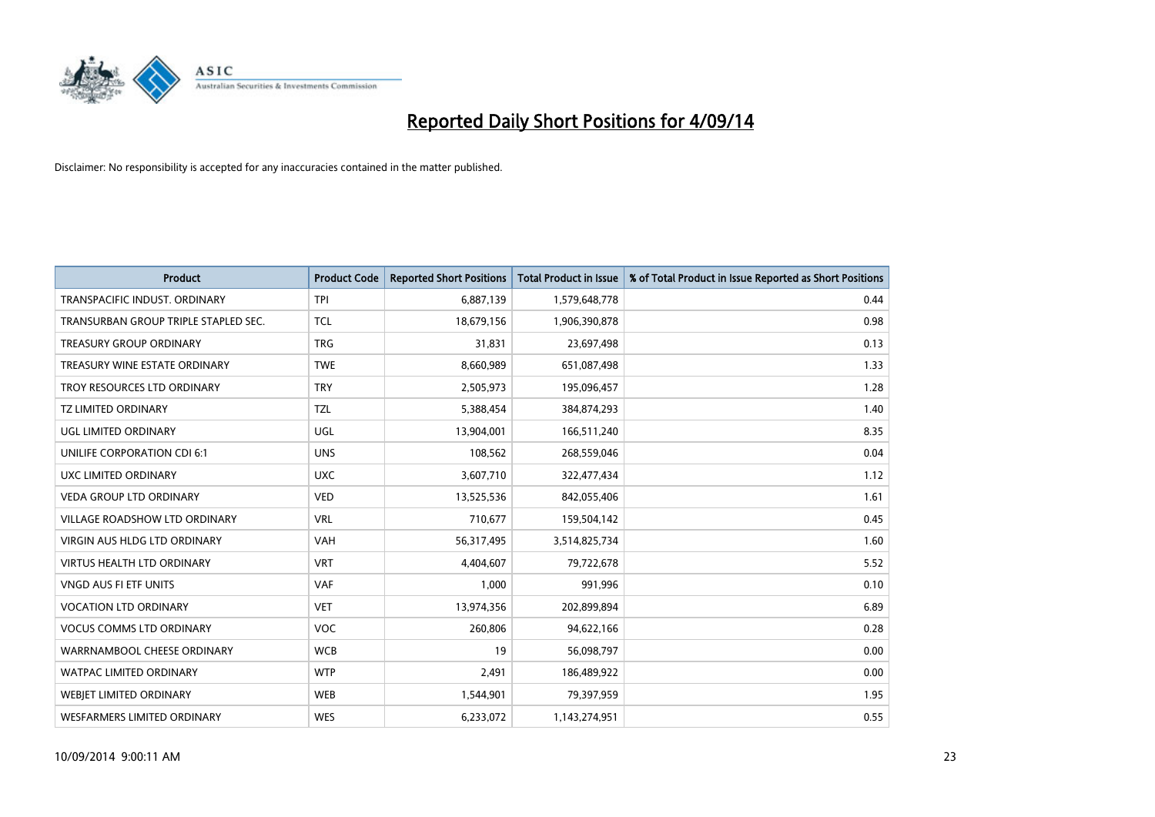

| <b>Product</b>                       | <b>Product Code</b> | <b>Reported Short Positions</b> | <b>Total Product in Issue</b> | % of Total Product in Issue Reported as Short Positions |
|--------------------------------------|---------------------|---------------------------------|-------------------------------|---------------------------------------------------------|
| TRANSPACIFIC INDUST, ORDINARY        | <b>TPI</b>          | 6,887,139                       | 1,579,648,778                 | 0.44                                                    |
| TRANSURBAN GROUP TRIPLE STAPLED SEC. | <b>TCL</b>          | 18,679,156                      | 1,906,390,878                 | 0.98                                                    |
| <b>TREASURY GROUP ORDINARY</b>       | <b>TRG</b>          | 31,831                          | 23,697,498                    | 0.13                                                    |
| TREASURY WINE ESTATE ORDINARY        | <b>TWE</b>          | 8,660,989                       | 651,087,498                   | 1.33                                                    |
| TROY RESOURCES LTD ORDINARY          | <b>TRY</b>          | 2,505,973                       | 195,096,457                   | 1.28                                                    |
| <b>TZ LIMITED ORDINARY</b>           | <b>TZL</b>          | 5,388,454                       | 384,874,293                   | 1.40                                                    |
| UGL LIMITED ORDINARY                 | UGL                 | 13,904,001                      | 166,511,240                   | 8.35                                                    |
| UNILIFE CORPORATION CDI 6:1          | <b>UNS</b>          | 108,562                         | 268,559,046                   | 0.04                                                    |
| UXC LIMITED ORDINARY                 | <b>UXC</b>          | 3,607,710                       | 322,477,434                   | 1.12                                                    |
| <b>VEDA GROUP LTD ORDINARY</b>       | <b>VED</b>          | 13,525,536                      | 842,055,406                   | 1.61                                                    |
| VILLAGE ROADSHOW LTD ORDINARY        | <b>VRL</b>          | 710,677                         | 159,504,142                   | 0.45                                                    |
| <b>VIRGIN AUS HLDG LTD ORDINARY</b>  | VAH                 | 56,317,495                      | 3,514,825,734                 | 1.60                                                    |
| <b>VIRTUS HEALTH LTD ORDINARY</b>    | <b>VRT</b>          | 4,404,607                       | 79,722,678                    | 5.52                                                    |
| <b>VNGD AUS FI ETF UNITS</b>         | <b>VAF</b>          | 1,000                           | 991,996                       | 0.10                                                    |
| <b>VOCATION LTD ORDINARY</b>         | <b>VET</b>          | 13,974,356                      | 202,899,894                   | 6.89                                                    |
| <b>VOCUS COMMS LTD ORDINARY</b>      | VOC                 | 260,806                         | 94,622,166                    | 0.28                                                    |
| WARRNAMBOOL CHEESE ORDINARY          | <b>WCB</b>          | 19                              | 56,098,797                    | 0.00                                                    |
| WATPAC LIMITED ORDINARY              | <b>WTP</b>          | 2,491                           | 186,489,922                   | 0.00                                                    |
| <b>WEBJET LIMITED ORDINARY</b>       | <b>WEB</b>          | 1,544,901                       | 79,397,959                    | 1.95                                                    |
| WESFARMERS LIMITED ORDINARY          | <b>WES</b>          | 6,233,072                       | 1,143,274,951                 | 0.55                                                    |